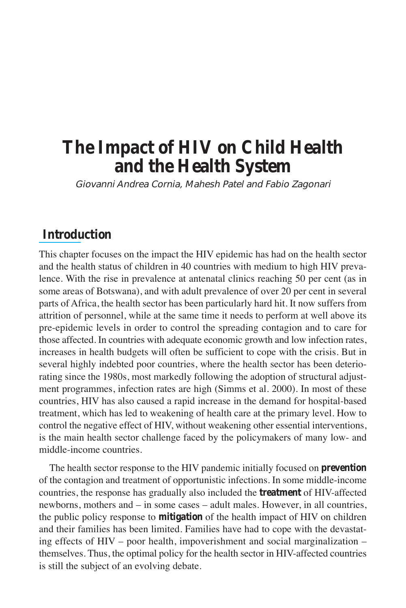# **The Impact of HIV on Child Health and the Health System**

Giovanni Andrea Cornia, Mahesh Patel and Fabio Zagonari

## **Introduction**

This chapter focuses on the impact the HIV epidemic has had on the health sector and the health status of children in 40 countries with medium to high HIV prevalence. With the rise in prevalence at antenatal clinics reaching 50 per cent (as in some areas of Botswana), and with adult prevalence of over 20 per cent in several parts of Africa, the health sector has been particularly hard hit. It now suffers from attrition of personnel, while at the same time it needs to perform at well above its pre-epidemic levels in order to control the spreading contagion and to care for those affected. In countries with adequate economic growth and low infection rates, increases in health budgets will often be sufficient to cope with the crisis. But in several highly indebted poor countries, where the health sector has been deteriorating since the 1980s, most markedly following the adoption of structural adjustment programmes, infection rates are high (Simms et al. 2000). In most of these countries, HIV has also caused a rapid increase in the demand for hospital-based treatment, which has led to weakening of health care at the primary level. How to control the negative effect of HIV, without weakening other essential interventions, is the main health sector challenge faced by the policymakers of many low- and middle-income countries.

The health sector response to the HIV pandemic initially focused on **prevention** of the contagion and treatment of opportunistic infections. In some middle-income countries, the response has gradually also included the **treatment** of HIV-affected newborns, mothers and – in some cases – adult males. However, in all countries, the public policy response to **mitigation** of the health impact of HIV on children and their families has been limited. Families have had to cope with the devastating effects of HIV – poor health, impoverishment and social marginalization – themselves. Thus, the optimal policy for the health sector in HIV-affected countries is still the subject of an evolving debate.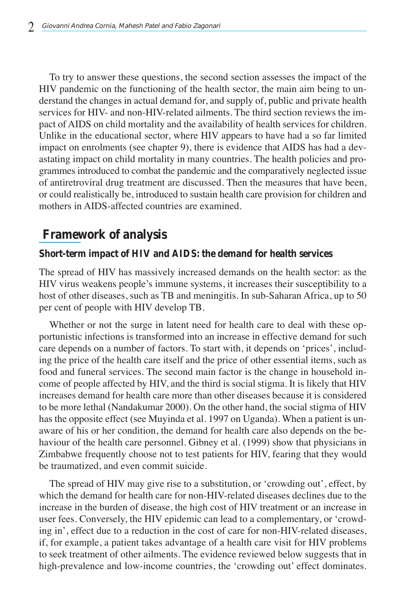To try to answer these questions, the second section assesses the impact of the HIV pandemic on the functioning of the health sector, the main aim being to understand the changes in actual demand for, and supply of, public and private health services for HIV- and non-HIV-related ailments. The third section reviews the impact of AIDS on child mortality and the availability of health services for children. Unlike in the educational sector, where HIV appears to have had a so far limited impact on enrolments (see chapter 9), there is evidence that AIDS has had a devastating impact on child mortality in many countries. The health policies and programmes introduced to combat the pandemic and the comparatively neglected issue of antiretroviral drug treatment are discussed. Then the measures that have been, or could realistically be, introduced to sustain health care provision for children and mothers in AIDS-affected countries are examined.

## **Framework of analysis**

## **Short-term impact of HIV and AIDS: the demand for health services**

The spread of HIV has massively increased demands on the health sector: as the HIV virus weakens people's immune systems, it increases their susceptibility to a host of other diseases, such as TB and meningitis. In sub-Saharan Africa, up to 50 per cent of people with HIV develop TB.

Whether or not the surge in latent need for health care to deal with these opportunistic infections is transformed into an increase in effective demand for such care depends on a number of factors. To start with, it depends on 'prices', including the price of the health care itself and the price of other essential items, such as food and funeral services. The second main factor is the change in household income of people affected by HIV, and the third is social stigma. It is likely that HIV increases demand for health care more than other diseases because it is considered to be more lethal (Nandakumar 2000). On the other hand, the social stigma of HIV has the opposite effect (see Muyinda et al. 1997 on Uganda). When a patient is unaware of his or her condition, the demand for health care also depends on the behaviour of the health care personnel. Gibney et al. (1999) show that physicians in Zimbabwe frequently choose not to test patients for HIV, fearing that they would be traumatized, and even commit suicide.

The spread of HIV may give rise to a substitution, or 'crowding out', effect, by which the demand for health care for non-HIV-related diseases declines due to the increase in the burden of disease, the high cost of HIV treatment or an increase in user fees. Conversely, the HIV epidemic can lead to a complementary, or 'crowding in', effect due to a reduction in the cost of care for non-HIV-related diseases, if, for example, a patient takes advantage of a health care visit for HIV problems to seek treatment of other ailments. The evidence reviewed below suggests that in high-prevalence and low-income countries, the 'crowding out' effect dominates.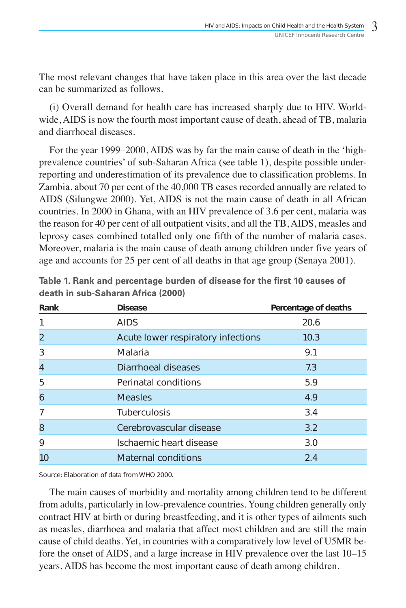The most relevant changes that have taken place in this area over the last decade can be summarized as follows.

(i) Overall demand for health care has increased sharply due to HIV. Worldwide, AIDS is now the fourth most important cause of death, ahead of TB, malaria and diarrhoeal diseases.

For the year 1999–2000, AIDS was by far the main cause of death in the 'highprevalence countries' of sub-Saharan Africa (see table 1), despite possible underreporting and underestimation of its prevalence due to classification problems. In Zambia, about 70 per cent of the 40,000 TB cases recorded annually are related to AIDS (Silungwe 2000). Yet, AIDS is not the main cause of death in all African countries. In 2000 in Ghana, with an HIV prevalence of 3.6 per cent, malaria was the reason for 40 per cent of all outpatient visits, and all the TB, AIDS, measles and leprosy cases combined totalled only one fifth of the number of malaria cases. Moreover, malaria is the main cause of death among children under five years of age and accounts for 25 per cent of all deaths in that age group (Senaya 2001).

| Rank           | <b>Disease</b>                     | Percentage of deaths |
|----------------|------------------------------------|----------------------|
| 1              | <b>AIDS</b>                        | 20.6                 |
| $\overline{2}$ | Acute lower respiratory infections | 10.3                 |
| 3              | Malaria                            | 9.1                  |
| $\overline{4}$ | Diarrhoeal diseases                | 7.3                  |
| 5              | Perinatal conditions               | 5.9                  |
| 6              | <b>Measles</b>                     | 4.9                  |
| $\overline{7}$ | <b>Tuberculosis</b>                | 3.4                  |
| 8              | Cerebrovascular disease            | 3.2                  |
| 9              | Ischaemic heart disease            | 3.0                  |
| 10             | <b>Maternal conditions</b>         | 2.4                  |

|                                    |  |  | Table 1. Rank and percentage burden of disease for the first 10 causes of |  |  |  |
|------------------------------------|--|--|---------------------------------------------------------------------------|--|--|--|
| death in sub-Saharan Africa (2000) |  |  |                                                                           |  |  |  |

Source: Elaboration of data from WHO 2000.

The main causes of morbidity and mortality among children tend to be different from adults, particularly in low-prevalence countries. Young children generally only contract HIV at birth or during breastfeeding, and it is other types of ailments such as measles, diarrhoea and malaria that affect most children and are still the main cause of child deaths. Yet, in countries with a comparatively low level of U5MR before the onset of AIDS, and a large increase in HIV prevalence over the last 10–15 years, AIDS has become the most important cause of death among children.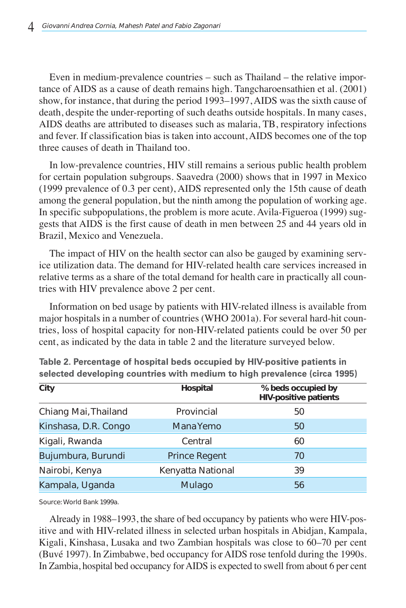Even in medium-prevalence countries – such as Thailand – the relative importance of AIDS as a cause of death remains high. Tangcharoensathien et al. (2001) show, for instance, that during the period 1993–1997, AIDS was the sixth cause of death, despite the under-reporting of such deaths outside hospitals. In many cases, AIDS deaths are attributed to diseases such as malaria, TB, respiratory infections and fever. If classification bias is taken into account, AIDS becomes one of the top three causes of death in Thailand too.

In low-prevalence countries, HIV still remains a serious public health problem for certain population subgroups. Saavedra (2000) shows that in 1997 in Mexico (1999 prevalence of 0.3 per cent), AIDS represented only the 15th cause of death among the general population, but the ninth among the population of working age. In specific subpopulations, the problem is more acute. Avila-Figueroa (1999) suggests that AIDS is the first cause of death in men between 25 and 44 years old in Brazil, Mexico and Venezuela.

The impact of HIV on the health sector can also be gauged by examining service utilization data. The demand for HIV-related health care services increased in relative terms as a share of the total demand for health care in practically all countries with HIV prevalence above 2 per cent.

Information on bed usage by patients with HIV-related illness is available from major hospitals in a number of countries (WHO 2001a). For several hard-hit countries, loss of hospital capacity for non-HIV-related patients could be over 50 per cent, as indicated by the data in table 2 and the literature surveyed below.

| City                 | Hospital             | % beds occupied by<br><b>HIV-positive patients</b> |
|----------------------|----------------------|----------------------------------------------------|
| Chiang Mai, Thailand | Provincial           | 50                                                 |
| Kinshasa, D.R. Congo | Mana Yemo            | 50                                                 |
| Kigali, Rwanda       | Central              | 60                                                 |
| Bujumbura, Burundi   | <b>Prince Regent</b> | 70                                                 |
| Nairobi, Kenya       | Kenyatta National    | 39                                                 |
| Kampala, Uganda      | Mulago               | 56                                                 |

Table 2. Percentage of hospital beds occupied by HIV-positive patients in selected developing countries with medium to high prevalence (circa 1995)

Source: World Bank 1999a.

Already in 1988–1993, the share of bed occupancy by patients who were HIV-positive and with HIV-related illness in selected urban hospitals in Abidjan, Kampala, Kigali, Kinshasa, Lusaka and two Zambian hospitals was close to 60–70 per cent (Buvé 1997). In Zimbabwe, bed occupancy for AIDS rose tenfold during the 1990s. In Zambia, hospital bed occupancy for AIDS is expected to swell from about 6 per cent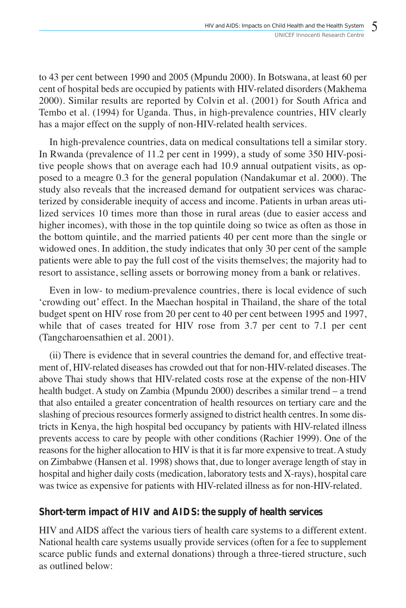to 43 per cent between 1990 and 2005 (Mpundu 2000). In Botswana, at least 60 per cent of hospital beds are occupied by patients with HIV-related disorders (Makhema 2000). Similar results are reported by Colvin et al. (2001) for South Africa and Tembo et al. (1994) for Uganda. Thus, in high-prevalence countries, HIV clearly has a major effect on the supply of non-HIV-related health services.

In high-prevalence countries, data on medical consultations tell a similar story. In Rwanda (prevalence of 11.2 per cent in 1999), a study of some 350 HIV-positive people shows that on average each had 10.9 annual outpatient visits, as opposed to a meagre 0.3 for the general population (Nandakumar et al. 2000). The study also reveals that the increased demand for outpatient services was characterized by considerable inequity of access and income. Patients in urban areas utilized services 10 times more than those in rural areas (due to easier access and higher incomes), with those in the top quintile doing so twice as often as those in the bottom quintile, and the married patients 40 per cent more than the single or widowed ones. In addition, the study indicates that only 30 per cent of the sample patients were able to pay the full cost of the visits themselves; the majority had to resort to assistance, selling assets or borrowing money from a bank or relatives.

Even in low- to medium-prevalence countries, there is local evidence of such 'crowding out' effect. In the Maechan hospital in Thailand, the share of the total budget spent on HIV rose from 20 per cent to 40 per cent between 1995 and 1997, while that of cases treated for HIV rose from 3.7 per cent to 7.1 per cent (Tangcharoensathien et al. 2001).

(ii) There is evidence that in several countries the demand for, and effective treatment of, HIV-related diseases has crowded out that for non-HIV-related diseases. The above Thai study shows that HIV-related costs rose at the expense of the non-HIV health budget. A study on Zambia (Mpundu 2000) describes a similar trend – a trend that also entailed a greater concentration of health resources on tertiary care and the slashing of precious resources formerly assigned to district health centres. In some districts in Kenya, the high hospital bed occupancy by patients with HIV-related illness prevents access to care by people with other conditions (Rachier 1999). One of the reasons for the higher allocation to HIV is that it is far more expensive to treat. A study on Zimbabwe (Hansen et al. 1998) shows that, due to longer average length of stay in hospital and higher daily costs (medication, laboratory tests and X-rays), hospital care was twice as expensive for patients with HIV-related illness as for non-HIV-related.

## **Short-term impact of HIV and AIDS: the supply of health services**

HIV and AIDS affect the various tiers of health care systems to a different extent. National health care systems usually provide services (often for a fee to supplement scarce public funds and external donations) through a three-tiered structure, such as outlined below: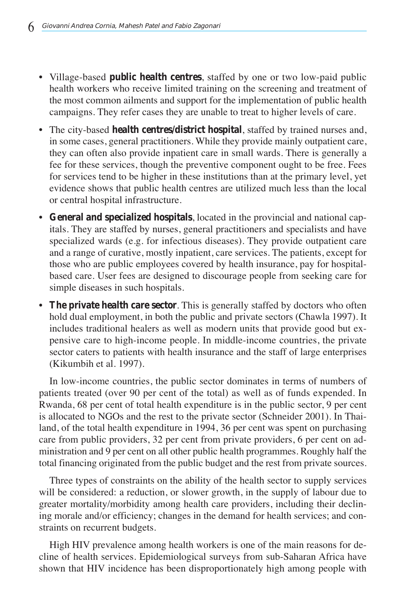- Village-based **public health centres**, staffed by one or two low-paid public health workers who receive limited training on the screening and treatment of the most common ailments and support for the implementation of public health campaigns. They refer cases they are unable to treat to higher levels of care.
- The city-based **health centres/district hospital**, staffed by trained nurses and, in some cases, general practitioners. While they provide mainly outpatient care, they can often also provide inpatient care in small wards. There is generally a fee for these services, though the preventive component ought to be free. Fees for services tend to be higher in these institutions than at the primary level, yet evidence shows that public health centres are utilized much less than the local or central hospital infrastructure.
- **General and specialized hospitals**, located in the provincial and national capitals. They are staffed by nurses, general practitioners and specialists and have specialized wards (e.g. for infectious diseases). They provide outpatient care and a range of curative, mostly inpatient, care services. The patients, except for those who are public employees covered by health insurance, pay for hospitalbased care. User fees are designed to discourage people from seeking care for simple diseases in such hospitals.
- **The private health care sector**. This is generally staffed by doctors who often hold dual employment, in both the public and private sectors (Chawla 1997). It includes traditional healers as well as modern units that provide good but expensive care to high-income people. In middle-income countries, the private sector caters to patients with health insurance and the staff of large enterprises (Kikumbih et al. 1997).

In low-income countries, the public sector dominates in terms of numbers of patients treated (over 90 per cent of the total) as well as of funds expended. In Rwanda, 68 per cent of total health expenditure is in the public sector, 9 per cent is allocated to NGOs and the rest to the private sector (Schneider 2001). In Thailand, of the total health expenditure in 1994, 36 per cent was spent on purchasing care from public providers, 32 per cent from private providers, 6 per cent on administration and 9 per cent on all other public health programmes. Roughly half the total financing originated from the public budget and the rest from private sources.

Three types of constraints on the ability of the health sector to supply services will be considered: a reduction, or slower growth, in the supply of labour due to greater mortality/morbidity among health care providers, including their declining morale and/or efficiency; changes in the demand for health services; and constraints on recurrent budgets.

High HIV prevalence among health workers is one of the main reasons for decline of health services. Epidemiological surveys from sub-Saharan Africa have shown that HIV incidence has been disproportionately high among people with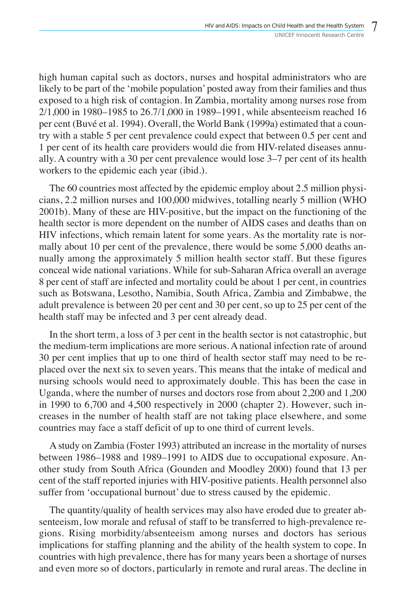high human capital such as doctors, nurses and hospital administrators who are likely to be part of the 'mobile population' posted away from their families and thus exposed to a high risk of contagion. In Zambia, mortality among nurses rose from 2/1,000 in 1980–1985 to 26.7/1,000 in 1989–1991, while absenteeism reached 16 per cent (Buvé et al. 1994). Overall, the World Bank (1999a) estimated that a country with a stable 5 per cent prevalence could expect that between 0.5 per cent and 1 per cent of its health care providers would die from HIV-related diseases annually. A country with a 30 per cent prevalence would lose 3–7 per cent of its health workers to the epidemic each year (ibid.).

The 60 countries most affected by the epidemic employ about 2.5 million physicians, 2.2 million nurses and 100,000 midwives, totalling nearly 5 million (WHO 2001b). Many of these are HIV-positive, but the impact on the functioning of the health sector is more dependent on the number of AIDS cases and deaths than on HIV infections, which remain latent for some years. As the mortality rate is normally about 10 per cent of the prevalence, there would be some 5,000 deaths annually among the approximately 5 million health sector staff. But these figures conceal wide national variations. While for sub-Saharan Africa overall an average 8 per cent of staff are infected and mortality could be about 1 per cent, in countries such as Botswana, Lesotho, Namibia, South Africa, Zambia and Zimbabwe, the adult prevalence is between 20 per cent and 30 per cent, so up to 25 per cent of the health staff may be infected and 3 per cent already dead.

In the short term, a loss of 3 per cent in the health sector is not catastrophic, but the medium-term implications are more serious. A national infection rate of around 30 per cent implies that up to one third of health sector staff may need to be replaced over the next six to seven years. This means that the intake of medical and nursing schools would need to approximately double. This has been the case in Uganda, where the number of nurses and doctors rose from about 2,200 and 1,200 in 1990 to 6,700 and 4,500 respectively in 2000 (chapter 2). However, such increases in the number of health staff are not taking place elsewhere, and some countries may face a staff deficit of up to one third of current levels.

A study on Zambia (Foster 1993) attributed an increase in the mortality of nurses between 1986–1988 and 1989–1991 to AIDS due to occupational exposure. Another study from South Africa (Gounden and Moodley 2000) found that 13 per cent of the staff reported injuries with HIV-positive patients. Health personnel also suffer from 'occupational burnout' due to stress caused by the epidemic.

The quantity/quality of health services may also have eroded due to greater absenteeism, low morale and refusal of staff to be transferred to high-prevalence regions. Rising morbidity/absenteeism among nurses and doctors has serious implications for staffing planning and the ability of the health system to cope. In countries with high prevalence, there has for many years been a shortage of nurses and even more so of doctors, particularly in remote and rural areas. The decline in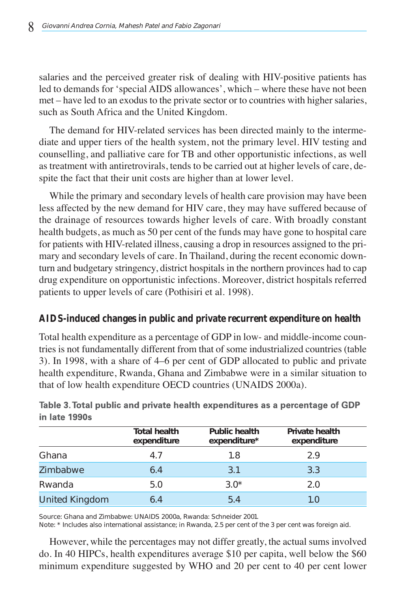salaries and the perceived greater risk of dealing with HIV-positive patients has led to demands for 'special AIDS allowances', which – where these have not been met – have led to an exodus to the private sector or to countries with higher salaries, such as South Africa and the United Kingdom.

The demand for HIV-related services has been directed mainly to the intermediate and upper tiers of the health system, not the primary level. HIV testing and counselling, and palliative care for TB and other opportunistic infections, as well as treatment with antiretrovirals, tends to be carried out at higher levels of care, despite the fact that their unit costs are higher than at lower level.

While the primary and secondary levels of health care provision may have been less affected by the new demand for HIV care, they may have suffered because of the drainage of resources towards higher levels of care. With broadly constant health budgets, as much as 50 per cent of the funds may have gone to hospital care for patients with HIV-related illness, causing a drop in resources assigned to the primary and secondary levels of care. In Thailand, during the recent economic downturn and budgetary stringency, district hospitals in the northern provinces had to cap drug expenditure on opportunistic infections. Moreover, district hospitals referred patients to upper levels of care (Pothisiri et al. 1998).

### **AIDS-induced changes in public and private recurrent expenditure on health**

Total health expenditure as a percentage of GDP in low- and middle-income countries is not fundamentally different from that of some industrialized countries (table 3). In 1998, with a share of 4–6 per cent of GDP allocated to public and private health expenditure, Rwanda, Ghana and Zimbabwe were in a similar situation to that of low health expenditure OECD countries (UNAIDS 2000a).

|                       | <b>Total health</b><br>expenditure | <b>Public health</b><br>expenditure* | <b>Private health</b><br>expenditure |
|-----------------------|------------------------------------|--------------------------------------|--------------------------------------|
| Ghana                 | 4.7                                | 1.8                                  | 2.9                                  |
| <b>Zimbabwe</b>       | 6.4                                | 3.1                                  | 3.3                                  |
| Rwanda                | 5.0                                | $3.0*$                               | 2.0                                  |
| <b>United Kingdom</b> | 6.4                                | 5.4                                  | 1.0                                  |

Table 3. Total public and private health expenditures as a percentage of GDP in late 1990s

Source: Ghana and Zimbabwe: UNAIDS 2000a, Rwanda: Schneider 2001.

Note: \* Includes also international assistance; in Rwanda, 2.5 per cent of the 3 per cent was foreign aid.

However, while the percentages may not differ greatly, the actual sums involved do. In 40 HIPCs, health expenditures average \$10 per capita, well below the \$60 minimum expenditure suggested by WHO and 20 per cent to 40 per cent lower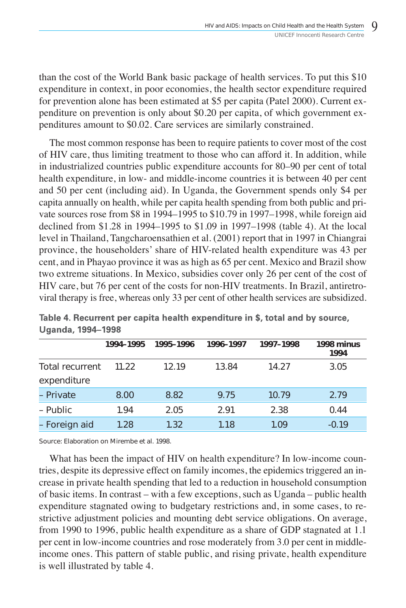than the cost of the World Bank basic package of health services. To put this \$10 expenditure in context, in poor economies, the health sector expenditure required for prevention alone has been estimated at \$5 per capita (Patel 2000). Current expenditure on prevention is only about \$0.20 per capita, of which government expenditures amount to \$0.02. Care services are similarly constrained.

The most common response has been to require patients to cover most of the cost of HIV care, thus limiting treatment to those who can afford it. In addition, while in industrialized countries public expenditure accounts for 80–90 per cent of total health expenditure, in low- and middle-income countries it is between 40 per cent and 50 per cent (including aid). In Uganda, the Government spends only \$4 per capita annually on health, while per capita health spending from both public and private sources rose from \$8 in 1994–1995 to \$10.79 in 1997–1998, while foreign aid declined from \$1.28 in 1994–1995 to \$1.09 in 1997–1998 (table 4). At the local level in Thailand, Tangcharoensathien et al. (2001) report that in 1997 in Chiangrai province, the householders' share of HIV-related health expenditure was 43 per cent, and in Phayao province it was as high as 65 per cent. Mexico and Brazil show two extreme situations. In Mexico, subsidies cover only 26 per cent of the cost of HIV care, but 76 per cent of the costs for non-HIV treatments. In Brazil, antiretroviral therapy is free, whereas only 33 per cent of other health services are subsidized.

|                                       | 1994-1995 | 1995-1996 | 1996-1997 | 1997-1998 | 1998 minus<br>1994 |
|---------------------------------------|-----------|-----------|-----------|-----------|--------------------|
| <b>Total recurrent</b><br>expenditure | 11.22     | 12.19     | 13.84     | 14.27     | 3.05               |
| - Private                             | 8.00      | 8.82      | 9.75      | 10.79     | 2.79               |
| – Public                              | 1.94      | 2.05      | 2.91      | 2.38      | 0.44               |
| - Foreign aid                         | 1.28      | 1.32      | 1.18      | 1.09      | $-0.19$            |

Table 4. Recurrent per capita health expenditure in \$, total and by source, **Uganda, 1994-1998** 

Source: Elaboration on Mirembe et al. 1998.

What has been the impact of HIV on health expenditure? In low-income countries, despite its depressive effect on family incomes, the epidemics triggered an increase in private health spending that led to a reduction in household consumption of basic items. In contrast – with a few exceptions, such as Uganda – public health expenditure stagnated owing to budgetary restrictions and, in some cases, to restrictive adjustment policies and mounting debt service obligations. On average, from 1990 to 1996, public health expenditure as a share of GDP stagnated at 1.1 per cent in low-income countries and rose moderately from 3.0 per cent in middleincome ones. This pattern of stable public, and rising private, health expenditure is well illustrated by table 4.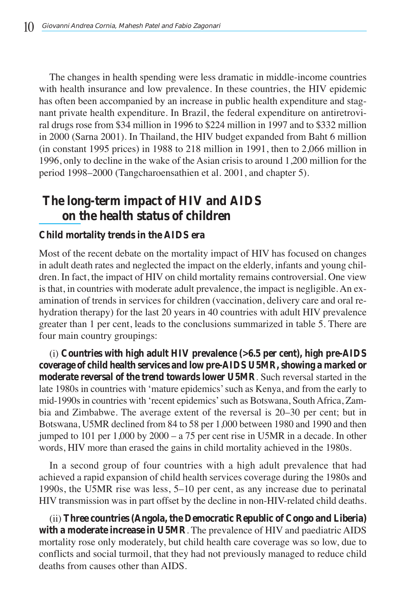The changes in health spending were less dramatic in middle-income countries with health insurance and low prevalence. In these countries, the HIV epidemic has often been accompanied by an increase in public health expenditure and stagnant private health expenditure. In Brazil, the federal expenditure on antiretroviral drugs rose from \$34 million in 1996 to \$224 million in 1997 and to \$332 million in 2000 (Sarna 2001). In Thailand, the HIV budget expanded from Baht 6 million (in constant 1995 prices) in 1988 to 218 million in 1991, then to 2,066 million in 1996, only to decline in the wake of the Asian crisis to around 1,200 million for the period 1998–2000 (Tangcharoensathien et al. 2001, and chapter 5).

## **The long-term impact of HIV and AIDS on the health status of children**

#### **Child mortality trends in the AIDS era**

Most of the recent debate on the mortality impact of HIV has focused on changes in adult death rates and neglected the impact on the elderly, infants and young children. In fact, the impact of HIV on child mortality remains controversial. One view is that, in countries with moderate adult prevalence, the impact is negligible. An examination of trends in services for children (vaccination, delivery care and oral rehydration therapy) for the last 20 years in 40 countries with adult HIV prevalence greater than 1 per cent, leads to the conclusions summarized in table 5. There are four main country groupings:

(i) **Countries with high adult HIV prevalence (>6.5 per cent), high pre-AIDS coverage of child health services and low pre-AIDS U5MR, showing a marked or moderate reversal of the trend towards lower U5MR**. Such reversal started in the late 1980s in countries with 'mature epidemics' such as Kenya, and from the early to mid-1990s in countries with 'recent epidemics' such as Botswana, South Africa, Zambia and Zimbabwe. The average extent of the reversal is 20–30 per cent; but in Botswana, U5MR declined from 84 to 58 per 1,000 between 1980 and 1990 and then jumped to 101 per 1,000 by 2000 – a 75 per cent rise in U5MR in a decade. In other words, HIV more than erased the gains in child mortality achieved in the 1980s.

In a second group of four countries with a high adult prevalence that had achieved a rapid expansion of child health services coverage during the 1980s and 1990s, the U5MR rise was less, 5–10 per cent, as any increase due to perinatal HIV transmission was in part offset by the decline in non-HIV-related child deaths.

(ii) **Three countries (Angola, the Democratic Republic of Congo and Liberia) with a moderate increase in U5MR**. The prevalence of HIV and paediatric AIDS mortality rose only moderately, but child health care coverage was so low, due to conflicts and social turmoil, that they had not previously managed to reduce child deaths from causes other than AIDS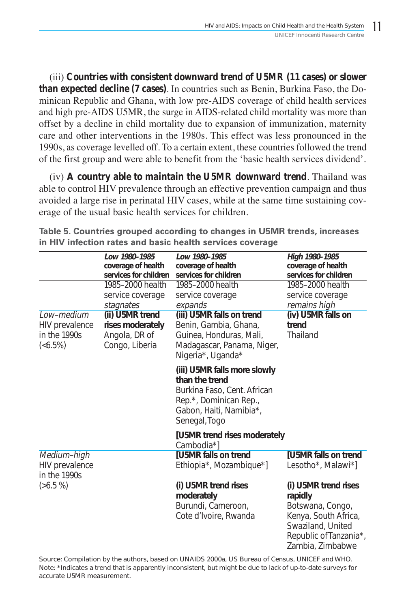(iii) **Countries with consistent downward trend of U5MR (11 cases) or slower than expected decline (7 cases)**. In countries such as Benin, Burkina Faso, the Dominican Republic and Ghana, with low pre-AIDS coverage of child health services and high pre-AIDS U5MR, the surge in AIDS-related child mortality was more than offset by a decline in child mortality due to expansion of immunization, maternity care and other interventions in the 1980s. This effect was less pronounced in the 1990s, as coverage levelled off. To a certain extent, these countries followed the trend of the first group and were able to benefit from the 'basic health services dividend'.

(iv) **A country able to maintain the U5MR downward trend**. Thailand was able to control HIV prevalence through an effective prevention campaign and thus avoided a large rise in perinatal HIV cases, while at the same time sustaining coverage of the usual basic health services for children.

|                                                                 | Low 1980-1985                                                          | Low 1980-1985                                                                                                                                       | High 1980-1985                                                                                                                                 |
|-----------------------------------------------------------------|------------------------------------------------------------------------|-----------------------------------------------------------------------------------------------------------------------------------------------------|------------------------------------------------------------------------------------------------------------------------------------------------|
|                                                                 | coverage of health<br>services for children                            | coverage of health<br>services for children                                                                                                         | coverage of health<br>services for children                                                                                                    |
|                                                                 | 1985-2000 health<br>service coverage<br>stagnates                      | 1985-2000 health<br>service coverage<br>expands                                                                                                     | 1985-2000 health<br>service coverage<br>remains high                                                                                           |
| Low-medium<br>HIV prevalence<br>in the 1990s<br>( <b>6.5%</b> ) | (ii) U5MR trend<br>rises moderately<br>Angola, DR of<br>Congo, Liberia | (iii) U5MR falls on trend<br>Benin, Gambia, Ghana,<br>Guinea, Honduras, Mali,<br>Madagascar, Panama, Niger,<br>Nigeria*, Uganda*                    | (iv) U5MR falls on<br>trend<br>Thailand                                                                                                        |
|                                                                 |                                                                        | (iii) U5MR falls more slowly<br>than the trend<br>Burkina Faso, Cent. African<br>Rep.*, Dominican Rep.,<br>Gabon, Haiti, Namibia*,<br>Senegal, Togo |                                                                                                                                                |
|                                                                 |                                                                        | [U5MR trend rises moderately<br>Cambodia*]                                                                                                          |                                                                                                                                                |
| Medium-high<br><b>HIV</b> prevalence<br>in the 1990s            |                                                                        | <b>[U5MR falls on trend</b><br>Ethiopia*, Mozambique*]                                                                                              | [U5MR falls on trend<br>Lesotho*, Malawi*]                                                                                                     |
| $(56.5\%)$                                                      |                                                                        | (i) U5MR trend rises<br>moderately<br>Burundi, Cameroon,<br>Cote d'Ivoire, Rwanda                                                                   | (i) U5MR trend rises<br>rapidly<br>Botswana, Congo,<br>Kenya, South Africa,<br>Swaziland, United<br>Republic of Tanzania*,<br>Zambia, Zimbabwe |

Table 5. Countries grouped according to changes in U5MR trends, increases in HIV infection rates and basic health services coverage

Source: Compilation by the authors, based on UNAIDS 2000a, US Bureau of Census, UNICEF and WHO. Note: \*Indicates a trend that is apparently inconsistent, but might be due to lack of up-to-date surveys for accurate U5MR measurement.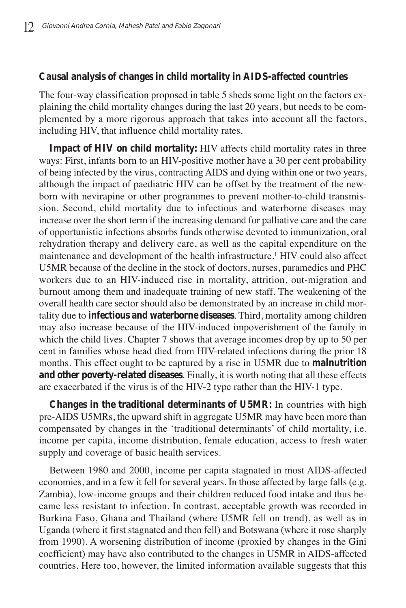### **Causal analysis of changes in child mortality in AIDS-affected countries**

The four-way classification proposed in table 5 sheds some light on the factors explaining the child mortality changes during the last 20 years, but needs to be complemented by a more rigorous approach that takes into account all the factors, including HIV, that influence child mortality rates.

**Impact of HIV on child mortality:** HIV affects child mortality rates in three ways: First, infants born to an HIV-positive mother have a 30 per cent probability of being infected by the virus, contracting AIDS and dying within one or two years, although the impact of paediatric HIV can be offset by the treatment of the newborn with nevirapine or other programmes to prevent mother-to-child transmission. Second, child mortality due to infectious and waterborne diseases may increase over the short term if the increasing demand for palliative care and the care of opportunistic infections absorbs funds otherwise devoted to immunization, oral rehydration therapy and delivery care, as well as the capital expenditure on the maintenance and development of the health infrastructure.1 HIV could also affect U5MR because of the decline in the stock of doctors, nurses, paramedics and PHC workers due to an HIV-induced rise in mortality, attrition, out-migration and burnout among them and inadequate training of new staff. The weakening of the overall health care sector should also be demonstrated by an increase in child mortality due to **infectious and waterborne diseases**. Third, mortality among children may also increase because of the HIV-induced impoverishment of the family in which the child lives. Chapter 7 shows that average incomes drop by up to 50 per cent in families whose head died from HIV-related infections during the prior 18 months. This effect ought to be captured by a rise in U5MR due to **malnutrition and other poverty-related diseases**. Finally, it is worth noting that all these effects are exacerbated if the virus is of the HIV-2 type rather than the HIV-1 type.

**Changes in the traditional determinants of U5MR:** In countries with high pre-AIDS U5MRs, the upward shift in aggregate U5MR may have been more than compensated by changes in the 'traditional determinants' of child mortality, i.e. income per capita, income distribution, female education, access to fresh water supply and coverage of basic health services.

Between 1980 and 2000, income per capita stagnated in most AIDS-affected economies, and in a few it fell for several years. In those affected by large falls (e.g. Zambia), low-income groups and their children reduced food intake and thus became less resistant to infection. In contrast, acceptable growth was recorded in Burkina Faso, Ghana and Thailand (where U5MR fell on trend), as well as in Uganda (where it first stagnated and then fell) and Botswana (where it rose sharply from 1990). A worsening distribution of income (proxied by changes in the Gini coefficient) may have also contributed to the changes in U5MR in AIDS-affected countries. Here too, however, the limited information available suggests that this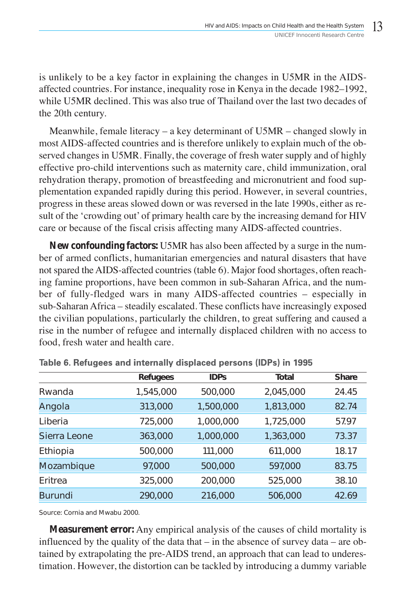is unlikely to be a key factor in explaining the changes in U5MR in the AIDSaffected countries. For instance, inequality rose in Kenya in the decade 1982–1992, while U5MR declined. This was also true of Thailand over the last two decades of the 20th century.

Meanwhile, female literacy – a key determinant of U5MR – changed slowly in most AIDS-affected countries and is therefore unlikely to explain much of the observed changes in U5MR. Finally, the coverage of fresh water supply and of highly effective pro-child interventions such as maternity care, child immunization, oral rehydration therapy, promotion of breastfeeding and micronutrient and food supplementation expanded rapidly during this period. However, in several countries, progress in these areas slowed down or was reversed in the late 1990s, either as result of the 'crowding out' of primary health care by the increasing demand for HIV care or because of the fiscal crisis affecting many AIDS-affected countries.

**New confounding factors:** U5MR has also been affected by a surge in the number of armed conflicts, humanitarian emergencies and natural disasters that have not spared the AIDS-affected countries (table 6). Major food shortages, often reaching famine proportions, have been common in sub-Saharan Africa, and the number of fully-fledged wars in many AIDS-affected countries – especially in sub-Saharan Africa – steadily escalated. These conflicts have increasingly exposed the civilian populations, particularly the children, to great suffering and caused a rise in the number of refugee and internally displaced children with no access to food, fresh water and health care.

|                | <b>Refugees</b> | <b>IDPs</b> | Total     | <b>Share</b> |
|----------------|-----------------|-------------|-----------|--------------|
| Rwanda         | 1,545,000       | 500,000     | 2,045,000 | 24.45        |
| Angola         | 313,000         | 1,500,000   | 1,813,000 | 82.74        |
| Liberia        | 725,000         | 1,000,000   | 1,725,000 | 57.97        |
| Sierra Leone   | 363,000         | 1,000,000   | 1,363,000 | 73.37        |
| Ethiopia       | 500,000         | 111,000     | 611,000   | 18.17        |
| Mozambique     | 97,000          | 500,000     | 597,000   | 83.75        |
| <b>Fritrea</b> | 325,000         | 200,000     | 525,000   | 38.10        |
| <b>Burundi</b> | 290,000         | 216,000     | 506,000   | 42.69        |

Table 6. Refugees and internally displaced persons (IDPs) in 1995

Source: Cornia and Mwabu 2000.

**Measurement error:** Any empirical analysis of the causes of child mortality is influenced by the quality of the data that – in the absence of survey data – are obtained by extrapolating the pre-AIDS trend, an approach that can lead to underestimation. However, the distortion can be tackled by introducing a dummy variable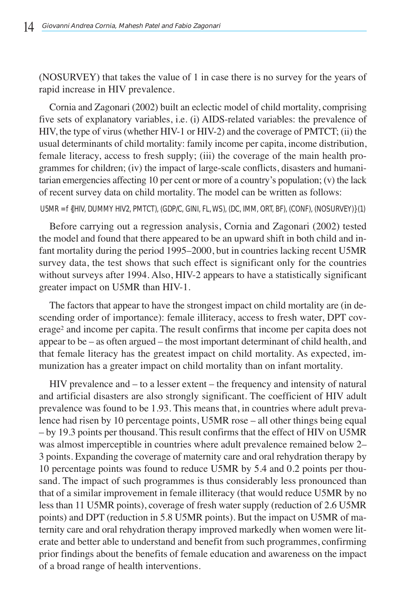(NOSURVEY) that takes the value of 1 in case there is no survey for the years of rapid increase in HIV prevalence.

Cornia and Zagonari (2002) built an eclectic model of child mortality, comprising five sets of explanatory variables, i.e. (i) AIDS-related variables: the prevalence of HIV, the type of virus (whether HIV-1 or HIV-2) and the coverage of PMTCT; (ii) the usual determinants of child mortality: family income per capita, income distribution, female literacy, access to fresh supply; (iii) the coverage of the main health programmes for children; (iv) the impact of large-scale conflicts, disasters and humanitarian emergencies affecting 10 per cent or more of a country's population; (v) the lack of recent survey data on child mortality. The model can be written as follows:

U5MR = f {(HIV, DUMMY HIV2, PMTCT), (GDP/C, GINI, FL, WS), (DC, IMM, ORT, BF), (CONF), (NOSURVEY)} (1)

Before carrying out a regression analysis, Cornia and Zagonari (2002) tested the model and found that there appeared to be an upward shift in both child and infant mortality during the period 1995–2000, but in countries lacking recent U5MR survey data, the test shows that such effect is significant only for the countries without surveys after 1994. Also, HIV-2 appears to have a statistically significant greater impact on U5MR than HIV-1.

The factors that appear to have the strongest impact on child mortality are (in descending order of importance): female illiteracy, access to fresh water, DPT coverage<sup>2</sup> and income per capita. The result confirms that income per capita does not appear to be – as often argued – the most important determinant of child health, and that female literacy has the greatest impact on child mortality. As expected, immunization has a greater impact on child mortality than on infant mortality.

HIV prevalence and – to a lesser extent – the frequency and intensity of natural and artificial disasters are also strongly significant. The coefficient of HIV adult prevalence was found to be 1.93. This means that, in countries where adult prevalence had risen by 10 percentage points, U5MR rose – all other things being equal – by 19.3 points per thousand. This result confirms that the effect of HIV on U5MR was almost imperceptible in countries where adult prevalence remained below 2– 3 points. Expanding the coverage of maternity care and oral rehydration therapy by 10 percentage points was found to reduce U5MR by 5.4 and 0.2 points per thousand. The impact of such programmes is thus considerably less pronounced than that of a similar improvement in female illiteracy (that would reduce U5MR by no less than 11 U5MR points), coverage of fresh water supply (reduction of 2.6 U5MR points) and DPT (reduction in 5.8 U5MR points). But the impact on U5MR of maternity care and oral rehydration therapy improved markedly when women were literate and better able to understand and benefit from such programmes, confirming prior findings about the benefits of female education and awareness on the impact of a broad range of health interventions.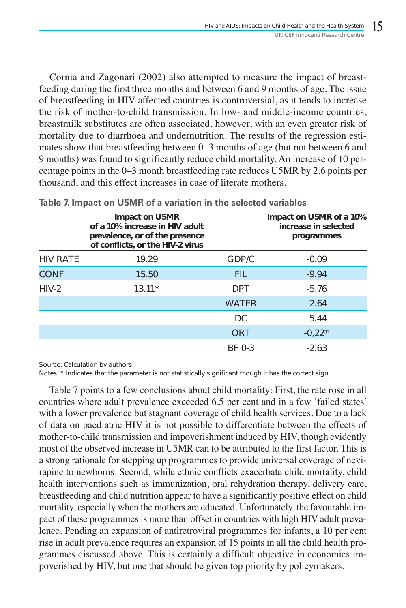Cornia and Zagonari (2002) also attempted to measure the impact of breastfeeding during the first three months and between 6 and 9 months of age. The issue of breastfeeding in HIV-affected countries is controversial, as it tends to increase the risk of mother-to-child transmission. In low- and middle-income countries, breastmilk substitutes are often associated, however, with an even greater risk of mortality due to diarrhoea and undernutrition. The results of the regression estimates show that breastfeeding between 0–3 months of age (but not between 6 and 9 months) was found to significantly reduce child mortality. An increase of 10 percentage points in the 0–3 month breastfeeding rate reduces U5MR by 2.6 points per thousand, and this effect increases in case of literate mothers.

|                 | Impact on U5MR<br>of a 10% increase in HIV adult<br>prevalence, or of the presence<br>of conflicts, or the HIV-2 virus |              | Impact on U5MR of a 10%<br>increase in selected<br>programmes |
|-----------------|------------------------------------------------------------------------------------------------------------------------|--------------|---------------------------------------------------------------|
| <b>HIV RATE</b> | 19.29                                                                                                                  | GDP/C        | $-0.09$                                                       |
| <b>CONF</b>     | 15.50                                                                                                                  | FIL.         | $-9.94$                                                       |
| $HIV-2$         | $13.11*$                                                                                                               | <b>DPT</b>   | $-5.76$                                                       |
|                 |                                                                                                                        | <b>WATER</b> | $-2.64$                                                       |
|                 |                                                                                                                        | DC           | $-5.44$                                                       |
|                 |                                                                                                                        | ORT          | $-0.22*$                                                      |
|                 |                                                                                                                        | BF 0-3       | $-2.63$                                                       |
|                 |                                                                                                                        |              |                                                               |

Table 7. Impact on U5MR of a variation in the selected variables

Source: Calculation by authors.

Notes: \* Indicates that the parameter is not statistically significant though it has the correct sign.

Table 7 points to a few conclusions about child mortality: First, the rate rose in all countries where adult prevalence exceeded 6.5 per cent and in a few 'failed states' with a lower prevalence but stagnant coverage of child health services. Due to a lack of data on paediatric HIV it is not possible to differentiate between the effects of mother-to-child transmission and impoverishment induced by HIV, though evidently most of the observed increase in U5MR can to be attributed to the first factor. This is a strong rationale for stepping up programmes to provide universal coverage of nevirapine to newborns. Second, while ethnic conflicts exacerbate child mortality, child health interventions such as immunization, oral rehydration therapy, delivery care, breastfeeding and child nutrition appear to have a significantly positive effect on child mortality, especially when the mothers are educated. Unfortunately, the favourable impact of these programmes is more than offset in countries with high HIV adult prevalence. Pending an expansion of antiretroviral programmes for infants, a 10 per cent rise in adult prevalence requires an expansion of 15 points in all the child health programmes discussed above. This is certainly a difficult objective in economies impoverished by HIV, but one that should be given top priority by policymakers.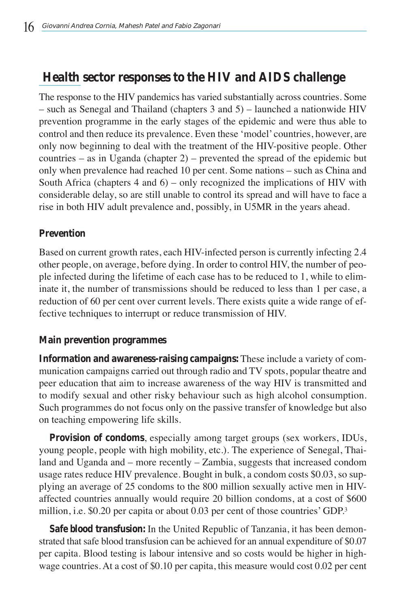## **Health sector responses to the HIV and AIDS challenge**

The response to the HIV pandemics has varied substantially across countries. Some – such as Senegal and Thailand (chapters 3 and 5) – launched a nationwide HIV prevention programme in the early stages of the epidemic and were thus able to control and then reduce its prevalence. Even these 'model' countries, however, are only now beginning to deal with the treatment of the HIV-positive people. Other countries – as in Uganda (chapter 2) – prevented the spread of the epidemic but only when prevalence had reached 10 per cent. Some nations – such as China and South Africa (chapters  $4$  and  $6$ ) – only recognized the implications of HIV with considerable delay, so are still unable to control its spread and will have to face a rise in both HIV adult prevalence and, possibly, in U5MR in the years ahead.

## **Prevention**

Based on current growth rates, each HIV-infected person is currently infecting 2.4 other people, on average, before dying. In order to control HIV, the number of people infected during the lifetime of each case has to be reduced to 1, while to eliminate it, the number of transmissions should be reduced to less than 1 per case, a reduction of 60 per cent over current levels. There exists quite a wide range of effective techniques to interrupt or reduce transmission of HIV.

### **Main prevention programmes**

**Information and awareness-raising campaigns:** These include a variety of communication campaigns carried out through radio and TV spots, popular theatre and peer education that aim to increase awareness of the way HIV is transmitted and to modify sexual and other risky behaviour such as high alcohol consumption. Such programmes do not focus only on the passive transfer of knowledge but also on teaching empowering life skills.

**Provision of condoms**, especially among target groups (sex workers, IDUs, young people, people with high mobility, etc.). The experience of Senegal, Thailand and Uganda and – more recently – Zambia, suggests that increased condom usage rates reduce HIV prevalence. Bought in bulk, a condom costs \$0.03, so supplying an average of 25 condoms to the 800 million sexually active men in HIVaffected countries annually would require 20 billion condoms, at a cost of \$600 million, i.e. \$0.20 per capita or about 0.03 per cent of those countries' GDP.3

**Safe blood transfusion:** In the United Republic of Tanzania, it has been demonstrated that safe blood transfusion can be achieved for an annual expenditure of \$0.07 per capita. Blood testing is labour intensive and so costs would be higher in highwage countries. At a cost of \$0.10 per capita, this measure would cost 0.02 per cent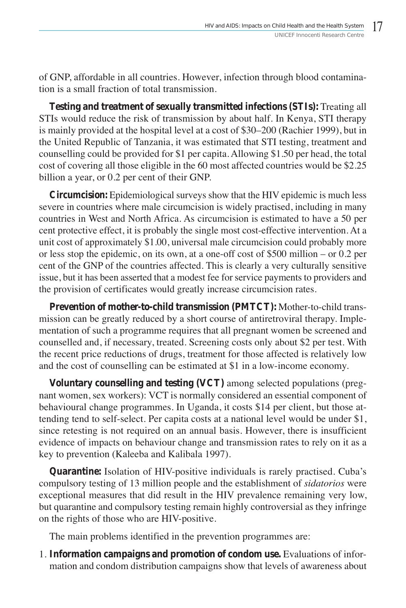of GNP, affordable in all countries. However, infection through blood contamination is a small fraction of total transmission.

**Testing and treatment of sexually transmitted infections (STIs):** Treating all STIs would reduce the risk of transmission by about half. In Kenya, STI therapy is mainly provided at the hospital level at a cost of \$30–200 (Rachier 1999), but in the United Republic of Tanzania, it was estimated that STI testing, treatment and counselling could be provided for \$1 per capita. Allowing \$1.50 per head, the total cost of covering all those eligible in the 60 most affected countries would be \$2.25 billion a year, or 0.2 per cent of their GNP.

**Circumcision:** Epidemiological surveys show that the HIV epidemic is much less severe in countries where male circumcision is widely practised, including in many countries in West and North Africa. As circumcision is estimated to have a 50 per cent protective effect, it is probably the single most cost-effective intervention. At a unit cost of approximately \$1.00, universal male circumcision could probably more or less stop the epidemic, on its own, at a one-off cost of \$500 million – or 0.2 per cent of the GNP of the countries affected. This is clearly a very culturally sensitive issue, but it has been asserted that a modest fee for service payments to providers and the provision of certificates would greatly increase circumcision rates.

**Prevention of mother-to-child transmission (PMTCT):** Mother-to-child transmission can be greatly reduced by a short course of antiretroviral therapy. Implementation of such a programme requires that all pregnant women be screened and counselled and, if necessary, treated. Screening costs only about \$2 per test. With the recent price reductions of drugs, treatment for those affected is relatively low and the cost of counselling can be estimated at \$1 in a low-income economy.

**Voluntary counselling and testing (VCT)** among selected populations (pregnant women, sex workers): VCT is normally considered an essential component of behavioural change programmes. In Uganda, it costs \$14 per client, but those attending tend to self-select. Per capita costs at a national level would be under \$1, since retesting is not required on an annual basis. However, there is insufficient evidence of impacts on behaviour change and transmission rates to rely on it as a key to prevention (Kaleeba and Kalibala 1997).

**Quarantine:** Isolation of HIV-positive individuals is rarely practised. Cuba's compulsory testing of 13 million people and the establishment of *sidatorios* were exceptional measures that did result in the HIV prevalence remaining very low, but quarantine and compulsory testing remain highly controversial as they infringe on the rights of those who are HIV-positive.

The main problems identified in the prevention programmes are:

1. **Information campaigns and promotion of condom use.** Evaluations of information and condom distribution campaigns show that levels of awareness about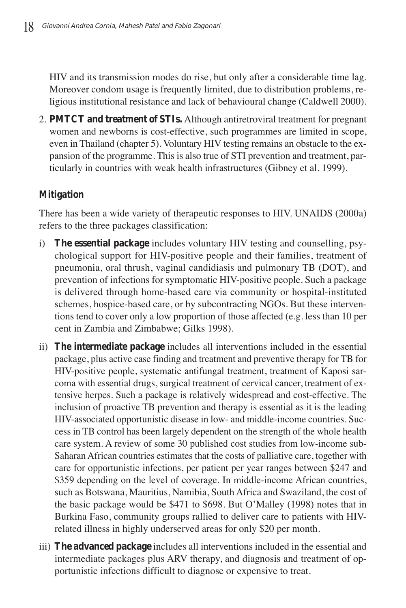HIV and its transmission modes do rise, but only after a considerable time lag. Moreover condom usage is frequently limited, due to distribution problems, religious institutional resistance and lack of behavioural change (Caldwell 2000).

2. **PMTCT and treatment of STIs.** Although antiretroviral treatment for pregnant women and newborns is cost-effective, such programmes are limited in scope, even in Thailand (chapter 5). Voluntary HIV testing remains an obstacle to the expansion of the programme. This is also true of STI prevention and treatment, particularly in countries with weak health infrastructures (Gibney et al. 1999).

## **Mitigation**

There has been a wide variety of therapeutic responses to HIV. UNAIDS (2000a) refers to the three packages classification:

- i) **The essential package** includes voluntary HIV testing and counselling, psychological support for HIV-positive people and their families, treatment of pneumonia, oral thrush, vaginal candidiasis and pulmonary TB (DOT), and prevention of infections for symptomatic HIV-positive people. Such a package is delivered through home-based care via community or hospital-instituted schemes, hospice-based care, or by subcontracting NGOs. But these interventions tend to cover only a low proportion of those affected (e.g. less than 10 per cent in Zambia and Zimbabwe; Gilks 1998).
- ii) **The intermediate package** includes all interventions included in the essential package, plus active case finding and treatment and preventive therapy for TB for HIV-positive people, systematic antifungal treatment, treatment of Kaposi sarcoma with essential drugs, surgical treatment of cervical cancer, treatment of extensive herpes. Such a package is relatively widespread and cost-effective. The inclusion of proactive TB prevention and therapy is essential as it is the leading HIV-associated opportunistic disease in low- and middle-income countries. Success in TB control has been largely dependent on the strength of the whole health care system. A review of some 30 published cost studies from low-income sub-Saharan African countries estimates that the costs of palliative care, together with care for opportunistic infections, per patient per year ranges between \$247 and \$359 depending on the level of coverage. In middle-income African countries, such as Botswana, Mauritius, Namibia, South Africa and Swaziland, the cost of the basic package would be \$471 to \$698. But O'Malley (1998) notes that in Burkina Faso, community groups rallied to deliver care to patients with HIVrelated illness in highly underserved areas for only \$20 per month.
- iii) **The advanced package** includes all interventions included in the essential and intermediate packages plus ARV therapy, and diagnosis and treatment of opportunistic infections difficult to diagnose or expensive to treat.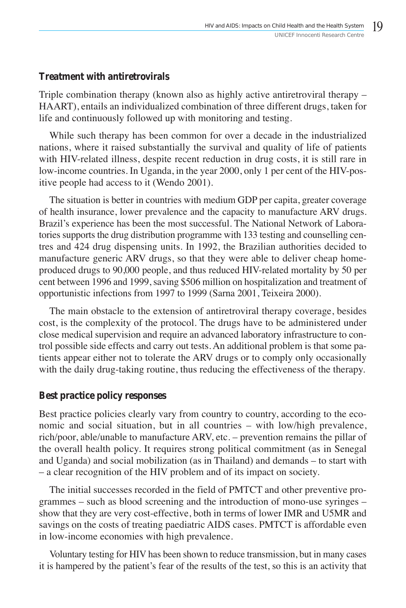### **Treatment with antiretrovirals**

Triple combination therapy (known also as highly active antiretroviral therapy – HAART), entails an individualized combination of three different drugs, taken for life and continuously followed up with monitoring and testing.

While such therapy has been common for over a decade in the industrialized nations, where it raised substantially the survival and quality of life of patients with HIV-related illness, despite recent reduction in drug costs, it is still rare in low-income countries. In Uganda, in the year 2000, only 1 per cent of the HIV-positive people had access to it (Wendo 2001).

The situation is better in countries with medium GDP per capita, greater coverage of health insurance, lower prevalence and the capacity to manufacture ARV drugs. Brazil's experience has been the most successful. The National Network of Laboratories supports the drug distribution programme with 133 testing and counselling centres and 424 drug dispensing units. In 1992, the Brazilian authorities decided to manufacture generic ARV drugs, so that they were able to deliver cheap homeproduced drugs to 90,000 people, and thus reduced HIV-related mortality by 50 per cent between 1996 and 1999, saving \$506 million on hospitalization and treatment of opportunistic infections from 1997 to 1999 (Sarna 2001, Teixeira 2000).

The main obstacle to the extension of antiretroviral therapy coverage, besides cost, is the complexity of the protocol. The drugs have to be administered under close medical supervision and require an advanced laboratory infrastructure to control possible side effects and carry out tests. An additional problem is that some patients appear either not to tolerate the ARV drugs or to comply only occasionally with the daily drug-taking routine, thus reducing the effectiveness of the therapy.

### **Best practice policy responses**

Best practice policies clearly vary from country to country, according to the economic and social situation, but in all countries – with low/high prevalence, rich/poor, able/unable to manufacture ARV, etc. – prevention remains the pillar of the overall health policy. It requires strong political commitment (as in Senegal and Uganda) and social mobilization (as in Thailand) and demands – to start with – a clear recognition of the HIV problem and of its impact on society.

The initial successes recorded in the field of PMTCT and other preventive programmes – such as blood screening and the introduction of mono-use syringes – show that they are very cost-effective, both in terms of lower IMR and U5MR and savings on the costs of treating paediatric AIDS cases. PMTCT is affordable even in low-income economies with high prevalence.

Voluntary testing for HIV has been shown to reduce transmission, but in many cases it is hampered by the patient's fear of the results of the test, so this is an activity that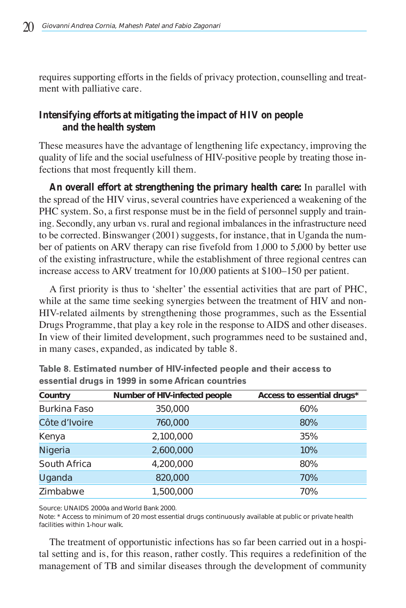requires supporting efforts in the fields of privacy protection, counselling and treatment with palliative care.

## **Intensifying efforts at mitigating the impact of HIV on people and the health system**

These measures have the advantage of lengthening life expectancy, improving the quality of life and the social usefulness of HIV-positive people by treating those infections that most frequently kill them.

**An overall effort at strengthening the primary health care:** In parallel with the spread of the HIV virus, several countries have experienced a weakening of the PHC system. So, a first response must be in the field of personnel supply and training. Secondly, any urban vs. rural and regional imbalances in the infrastructure need to be corrected. Binswanger (2001) suggests, for instance, that in Uganda the number of patients on ARV therapy can rise fivefold from 1,000 to 5,000 by better use of the existing infrastructure, while the establishment of three regional centres can increase access to ARV treatment for 10,000 patients at \$100–150 per patient.

A first priority is thus to 'shelter' the essential activities that are part of PHC, while at the same time seeking synergies between the treatment of HIV and non-HIV-related ailments by strengthening those programmes, such as the Essential Drugs Programme, that play a key role in the response to AIDS and other diseases. In view of their limited development, such programmes need to be sustained and, in many cases, expanded, as indicated by table 8.

| Country             | Number of HIV-infected people | Access to essential drugs* |
|---------------------|-------------------------------|----------------------------|
| <b>Burkina Faso</b> | 350,000                       | 60%                        |
| Côte d'Ivoire       | 760,000                       | 80%                        |
| Kenya               | 2,100,000                     | 35%                        |
| Nigeria             | 2,600,000                     | 10%                        |
| South Africa        | 4,200,000                     | 80%                        |
| Uganda              | 820,000                       | 70%                        |
| Zimbabwe            | 1,500,000                     | 70%                        |

Table 8. Estimated number of HIV-infected people and their access to essential drugs in 1999 in some African countries

Source: UNAIDS 2000a and World Bank 2000.

Note: \* Access to minimum of 20 most essential drugs continuously available at public or private health facilities within 1-hour walk.

The treatment of opportunistic infections has so far been carried out in a hospital setting and is, for this reason, rather costly. This requires a redefinition of the management of TB and similar diseases through the development of community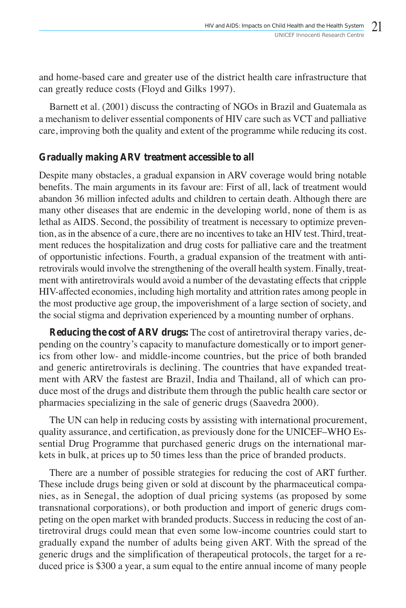and home-based care and greater use of the district health care infrastructure that can greatly reduce costs (Floyd and Gilks 1997).

Barnett et al. (2001) discuss the contracting of NGOs in Brazil and Guatemala as a mechanism to deliver essential components of HIV care such as VCT and palliative care, improving both the quality and extent of the programme while reducing its cost.

## **Gradually making ARV treatment accessible to all**

Despite many obstacles, a gradual expansion in ARV coverage would bring notable benefits. The main arguments in its favour are: First of all, lack of treatment would abandon 36 million infected adults and children to certain death. Although there are many other diseases that are endemic in the developing world, none of them is as lethal as AIDS. Second, the possibility of treatment is necessary to optimize prevention, as in the absence of a cure, there are no incentives to take an HIV test. Third, treatment reduces the hospitalization and drug costs for palliative care and the treatment of opportunistic infections. Fourth, a gradual expansion of the treatment with antiretrovirals would involve the strengthening of the overall health system. Finally, treatment with antiretrovirals would avoid a number of the devastating effects that cripple HIV-affected economies, including high mortality and attrition rates among people in the most productive age group, the impoverishment of a large section of society, and the social stigma and deprivation experienced by a mounting number of orphans.

**Reducing the cost of ARV drugs:** The cost of antiretroviral therapy varies, depending on the country's capacity to manufacture domestically or to import generics from other low- and middle-income countries, but the price of both branded and generic antiretrovirals is declining. The countries that have expanded treatment with ARV the fastest are Brazil, India and Thailand, all of which can produce most of the drugs and distribute them through the public health care sector or pharmacies specializing in the sale of generic drugs (Saavedra 2000).

The UN can help in reducing costs by assisting with international procurement, quality assurance, and certification, as previously done for the UNICEF–WHO Essential Drug Programme that purchased generic drugs on the international markets in bulk, at prices up to 50 times less than the price of branded products.

There are a number of possible strategies for reducing the cost of ART further. These include drugs being given or sold at discount by the pharmaceutical companies, as in Senegal, the adoption of dual pricing systems (as proposed by some transnational corporations), or both production and import of generic drugs competing on the open market with branded products. Success in reducing the cost of antiretroviral drugs could mean that even some low-income countries could start to gradually expand the number of adults being given ART. With the spread of the generic drugs and the simplification of therapeutical protocols, the target for a reduced price is \$300 a year, a sum equal to the entire annual income of many people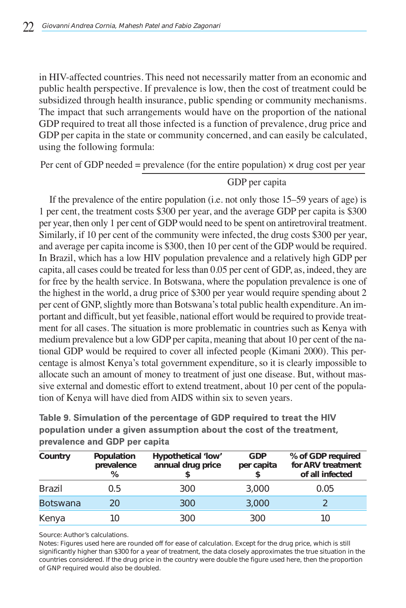in HIV-affected countries. This need not necessarily matter from an economic and public health perspective. If prevalence is low, then the cost of treatment could be subsidized through health insurance, public spending or community mechanisms. The impact that such arrangements would have on the proportion of the national GDP required to treat all those infected is a function of prevalence, drug price and GDP per capita in the state or community concerned, and can easily be calculated, using the following formula:

Per cent of GDP needed = prevalence (for the entire population)  $\times$  drug cost per year

### GDP per capita

If the prevalence of the entire population (i.e. not only those 15–59 years of age) is 1 per cent, the treatment costs \$300 per year, and the average GDP per capita is \$300 per year, then only 1 per cent of GDP would need to be spent on antiretroviral treatment. Similarly, if 10 per cent of the community were infected, the drug costs \$300 per year, and average per capita income is \$300, then 10 per cent of the GDP would be required. In Brazil, which has a low HIV population prevalence and a relatively high GDP per capita, all cases could be treated for less than 0.05 per cent of GDP, as, indeed, they are for free by the health service. In Botswana, where the population prevalence is one of the highest in the world, a drug price of \$300 per year would require spending about 2 per cent of GNP, slightly more than Botswana's total public health expenditure. An important and difficult, but yet feasible, national effort would be required to provide treatment for all cases. The situation is more problematic in countries such as Kenya with medium prevalence but a low GDP per capita, meaning that about 10 per cent of the national GDP would be required to cover all infected people (Kimani 2000). This percentage is almost Kenya's total government expenditure, so it is clearly impossible to allocate such an amount of money to treatment of just one disease. But, without massive external and domestic effort to extend treatment, about 10 per cent of the population of Kenya will have died from AIDS within six to seven years.

| Country         | Population<br>prevalence<br>℅ | Hypothetical 'low'<br>annual drug price | <b>GDP</b><br>per capita | % of GDP required<br>for ARV treatment<br>of all infected |  |  |
|-----------------|-------------------------------|-----------------------------------------|--------------------------|-----------------------------------------------------------|--|--|
| <b>Brazil</b>   | 0.5                           | 300                                     | 3,000                    | 0.05                                                      |  |  |
| <b>Botswana</b> | ንበ                            | 300                                     | 3,000                    |                                                           |  |  |
| Kenya           |                               | 300                                     | 300                      | 10                                                        |  |  |

Table 9. Simulation of the percentage of GDP required to treat the HIV population under a given assumption about the cost of the treatment, prevalence and GDP per capita

Source: Author's calculations.

Notes: Figures used here are rounded off for ease of calculation. Except for the drug price, which is still significantly higher than \$300 for a year of treatment, the data closely approximates the true situation in the countries considered. If the drug price in the country were double the figure used here, then the proportion of GNP required would also be doubled.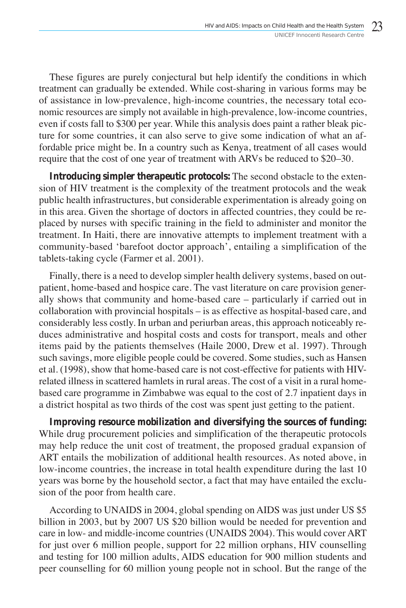These figures are purely conjectural but help identify the conditions in which treatment can gradually be extended. While cost-sharing in various forms may be of assistance in low-prevalence, high-income countries, the necessary total economic resources are simply not available in high-prevalence, low-income countries, even if costs fall to \$300 per year. While this analysis does paint a rather bleak picture for some countries, it can also serve to give some indication of what an affordable price might be. In a country such as Kenya, treatment of all cases would require that the cost of one year of treatment with ARVs be reduced to \$20–30.

**Introducing simpler therapeutic protocols:** The second obstacle to the extension of HIV treatment is the complexity of the treatment protocols and the weak public health infrastructures, but considerable experimentation is already going on in this area. Given the shortage of doctors in affected countries, they could be replaced by nurses with specific training in the field to administer and monitor the treatment. In Haiti, there are innovative attempts to implement treatment with a community-based 'barefoot doctor approach', entailing a simplification of the tablets-taking cycle (Farmer et al. 2001).

Finally, there is a need to develop simpler health delivery systems, based on outpatient, home-based and hospice care. The vast literature on care provision generally shows that community and home-based care – particularly if carried out in collaboration with provincial hospitals – is as effective as hospital-based care, and considerably less costly. In urban and periurban areas, this approach noticeably reduces administrative and hospital costs and costs for transport, meals and other items paid by the patients themselves (Haile 2000, Drew et al. 1997). Through such savings, more eligible people could be covered. Some studies, such as Hansen et al. (1998), show that home-based care is not cost-effective for patients with HIVrelated illness in scattered hamlets in rural areas. The cost of a visit in a rural homebased care programme in Zimbabwe was equal to the cost of 2.7 inpatient days in a district hospital as two thirds of the cost was spent just getting to the patient.

**Improving resource mobilization and diversifying the sources of funding:** While drug procurement policies and simplification of the therapeutic protocols may help reduce the unit cost of treatment, the proposed gradual expansion of ART entails the mobilization of additional health resources. As noted above, in low-income countries, the increase in total health expenditure during the last 10 years was borne by the household sector, a fact that may have entailed the exclusion of the poor from health care.

According to UNAIDS in 2004, global spending on AIDS was just under US \$5 billion in 2003, but by 2007 US \$20 billion would be needed for prevention and care in low- and middle-income countries (UNAIDS 2004). This would cover ART for just over 6 million people, support for 22 million orphans, HIV counselling and testing for 100 million adults, AIDS education for 900 million students and peer counselling for 60 million young people not in school. But the range of the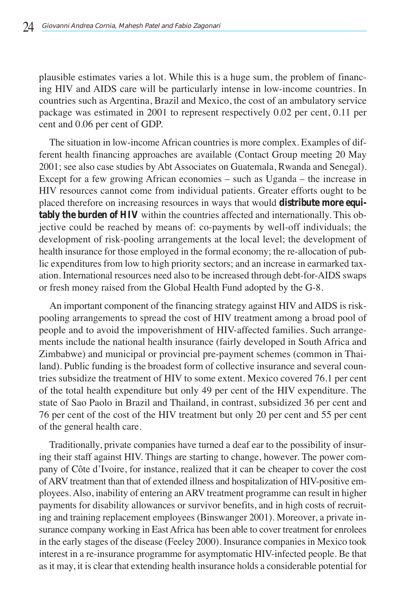plausible estimates varies a lot. While this is a huge sum, the problem of financing HIV and AIDS care will be particularly intense in low-income countries. In countries such as Argentina, Brazil and Mexico, the cost of an ambulatory service package was estimated in 2001 to represent respectively 0.02 per cent, 0.11 per cent and 0.06 per cent of GDP.

The situation in low-income African countries is more complex. Examples of different health financing approaches are available (Contact Group meeting 20 May 2001; see also case studies by Abt Associates on Guatemala, Rwanda and Senegal). Except for a few growing African economies – such as Uganda – the increase in HIV resources cannot come from individual patients. Greater efforts ought to be placed therefore on increasing resources in ways that would **distribute more equitably the burden of HIV** within the countries affected and internationally. This objective could be reached by means of: co-payments by well-off individuals; the development of risk-pooling arrangements at the local level; the development of health insurance for those employed in the formal economy; the re-allocation of public expenditures from low to high priority sectors; and an increase in earmarked taxation. International resources need also to be increased through debt-for-AIDS swaps or fresh money raised from the Global Health Fund adopted by the G-8.

An important component of the financing strategy against HIV and AIDS is riskpooling arrangements to spread the cost of HIV treatment among a broad pool of people and to avoid the impoverishment of HIV-affected families. Such arrangements include the national health insurance (fairly developed in South Africa and Zimbabwe) and municipal or provincial pre-payment schemes (common in Thailand). Public funding is the broadest form of collective insurance and several countries subsidize the treatment of HIV to some extent. Mexico covered 76.1 per cent of the total health expenditure but only 49 per cent of the HIV expenditure. The state of Sao Paolo in Brazil and Thailand, in contrast, subsidized 36 per cent and 76 per cent of the cost of the HIV treatment but only 20 per cent and 55 per cent of the general health care.

Traditionally, private companies have turned a deaf ear to the possibility of insuring their staff against HIV. Things are starting to change, however. The power company of Côte d'Ivoire, for instance, realized that it can be cheaper to cover the cost of ARV treatment than that of extended illness and hospitalization of HIV-positive employees. Also, inability of entering an ARV treatment programme can result in higher payments for disability allowances or survivor benefits, and in high costs of recruiting and training replacement employees (Binswanger 2001). Moreover, a private insurance company working in East Africa has been able to cover treatment for enrolees in the early stages of the disease (Feeley 2000). Insurance companies in Mexico took interest in a re-insurance programme for asymptomatic HIV-infected people. Be that as it may, it is clear that extending health insurance holds a considerable potential for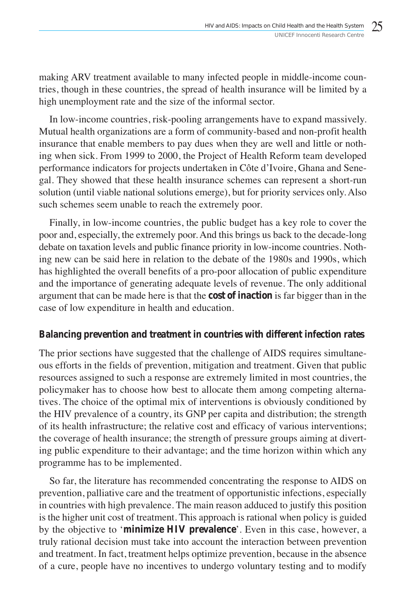making ARV treatment available to many infected people in middle-income countries, though in these countries, the spread of health insurance will be limited by a high unemployment rate and the size of the informal sector.

In low-income countries, risk-pooling arrangements have to expand massively. Mutual health organizations are a form of community-based and non-profit health insurance that enable members to pay dues when they are well and little or nothing when sick. From 1999 to 2000, the Project of Health Reform team developed performance indicators for projects undertaken in Côte d'Ivoire, Ghana and Senegal. They showed that these health insurance schemes can represent a short-run solution (until viable national solutions emerge), but for priority services only. Also such schemes seem unable to reach the extremely poor.

Finally, in low-income countries, the public budget has a key role to cover the poor and, especially, the extremely poor. And this brings us back to the decade-long debate on taxation levels and public finance priority in low-income countries. Nothing new can be said here in relation to the debate of the 1980s and 1990s, which has highlighted the overall benefits of a pro-poor allocation of public expenditure and the importance of generating adequate levels of revenue. The only additional argument that can be made here is that the **cost of inaction** is far bigger than in the case of low expenditure in health and education.

### **Balancing prevention and treatment in countries with different infection rates**

The prior sections have suggested that the challenge of AIDS requires simultaneous efforts in the fields of prevention, mitigation and treatment. Given that public resources assigned to such a response are extremely limited in most countries, the policymaker has to choose how best to allocate them among competing alternatives. The choice of the optimal mix of interventions is obviously conditioned by the HIV prevalence of a country, its GNP per capita and distribution; the strength of its health infrastructure; the relative cost and efficacy of various interventions; the coverage of health insurance; the strength of pressure groups aiming at diverting public expenditure to their advantage; and the time horizon within which any programme has to be implemented.

So far, the literature has recommended concentrating the response to AIDS on prevention, palliative care and the treatment of opportunistic infections, especially in countries with high prevalence. The main reason adduced to justify this position is the higher unit cost of treatment. This approach is rational when policy is guided by the objective to '**minimize HIV prevalence**'. Even in this case, however, a truly rational decision must take into account the interaction between prevention and treatment. In fact, treatment helps optimize prevention, because in the absence of a cure, people have no incentives to undergo voluntary testing and to modify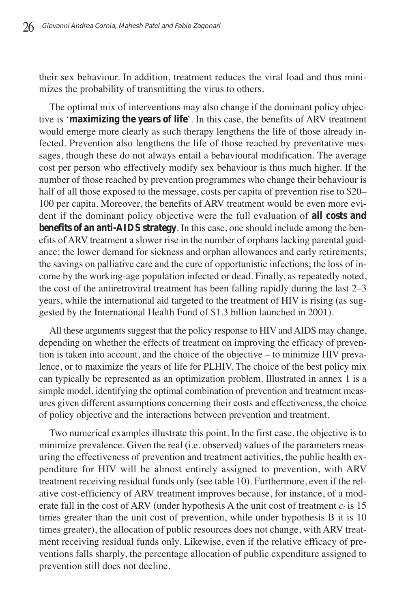their sex behaviour. In addition, treatment reduces the viral load and thus minimizes the probability of transmitting the virus to others.

The optimal mix of interventions may also change if the dominant policy objective is '**maximizing the years of life**'. In this case, the benefits of ARV treatment would emerge more clearly as such therapy lengthens the life of those already infected. Prevention also lengthens the life of those reached by preventative messages, though these do not always entail a behavioural modification. The average cost per person who effectively modify sex behaviour is thus much higher. If the number of those reached by prevention programmes who change their behaviour is half of all those exposed to the message, costs per capita of prevention rise to \$20– 100 per capita. Moreover, the benefits of ARV treatment would be even more evident if the dominant policy objective were the full evaluation of **all costs and benefits of an anti-AIDS strategy**. In this case, one should include among the benefits of ARV treatment a slower rise in the number of orphans lacking parental guidance; the lower demand for sickness and orphan allowances and early retirements; the savings on palliative care and the cure of opportunistic infections; the loss of income by the working-age population infected or dead. Finally, as repeatedly noted, the cost of the antiretroviral treatment has been falling rapidly during the last 2–3 years, while the international aid targeted to the treatment of HIV is rising (as suggested by the International Health Fund of \$1.3 billion launched in 2001).

All these arguments suggest that the policy response to HIV and AIDS may change, depending on whether the effects of treatment on improving the efficacy of prevention is taken into account, and the choice of the objective – to minimize HIV prevalence, or to maximize the years of life for PLHIV. The choice of the best policy mix can typically be represented as an optimization problem. Illustrated in annex 1 is a simple model, identifying the optimal combination of prevention and treatment measures given different assumptions concerning their costs and effectiveness, the choice of policy objective and the interactions between prevention and treatment.

Two numerical examples illustrate this point. In the first case, the objective is to minimize prevalence. Given the real (i.e. observed) values of the parameters measuring the effectiveness of prevention and treatment activities, the public health expenditure for HIV will be almost entirely assigned to prevention, with ARV treatment receiving residual funds only (see table 10). Furthermore, even if the relative cost-efficiency of ARV treatment improves because, for instance, of a moderate fall in the cost of ARV (under hypothesis A the unit cost of treatment  $c_t$  is 15 times greater than the unit cost of prevention, while under hypothesis B it is 10 times greater), the allocation of public resources does not change, with ARV treatment receiving residual funds only. Likewise, even if the relative efficacy of preventions falls sharply, the percentage allocation of public expenditure assigned to prevention still does not decline.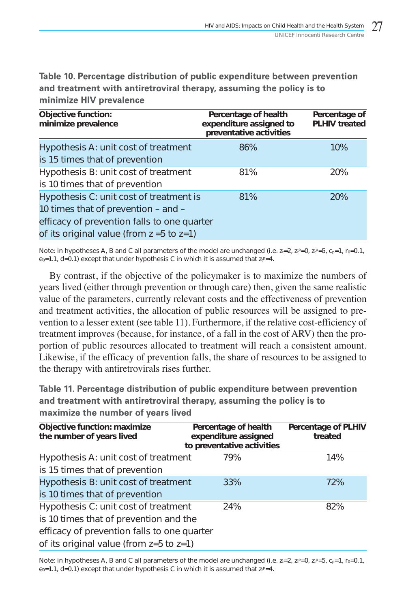Table 10. Percentage distribution of public expenditure between prevention and treatment with antiretroviral therapy, assuming the policy is to minimize HIV prevalence

| <b>Objective function:</b><br>minimize prevalence                                                                                                                                 | Percentage of health<br>expenditure assigned to<br>preventative activities | Percentage of<br><b>PLHIV</b> treated |
|-----------------------------------------------------------------------------------------------------------------------------------------------------------------------------------|----------------------------------------------------------------------------|---------------------------------------|
| Hypothesis A: unit cost of treatment<br>is 15 times that of prevention                                                                                                            | 86%                                                                        | 10%                                   |
| Hypothesis B: unit cost of treatment<br>is 10 times that of prevention                                                                                                            | 81%                                                                        | 20%                                   |
| Hypothesis C: unit cost of treatment is<br>10 times that of prevention - and -<br>efficacy of prevention falls to one quarter<br>of its original value (from $z = 5$ to $z = 1$ ) | 81%                                                                        | 20%                                   |

Note: in hypotheses A, B and C all parameters of the model are unchanged (i.e.  $z_t$ =2,  $z_t$ e=0,  $z_t$ e=5,  $c_p$ =1, r $_0$ =0.1, e $_{0}$ =1.1, d=0.1) except that under hypothesis C in which it is assumed that z $_{\rm f}$ P=4.

By contrast, if the objective of the policymaker is to maximize the numbers of years lived (either through prevention or through care) then, given the same realistic value of the parameters, currently relevant costs and the effectiveness of prevention and treatment activities, the allocation of public resources will be assigned to prevention to a lesser extent (see table 11). Furthermore, if the relative cost-efficiency of treatment improves (because, for instance, of a fall in the cost of ARV) then the proportion of public resources allocated to treatment will reach a consistent amount. Likewise, if the efficacy of prevention falls, the share of resources to be assigned to the therapy with antiretrovirals rises further.

Table 11. Percentage distribution of public expenditure between prevention and treatment with antiretroviral therapy, assuming the policy is to maximize the number of years lived

| Objective function: maximize<br>the number of years lived | Percentage of health<br>expenditure assigned<br>to preventative activities | <b>Percentage of PLHIV</b><br>treated |
|-----------------------------------------------------------|----------------------------------------------------------------------------|---------------------------------------|
| Hypothesis A: unit cost of treatment                      | 79%                                                                        | 14%                                   |
| is 15 times that of prevention                            |                                                                            |                                       |
| Hypothesis B: unit cost of treatment                      | 33%                                                                        | 72%                                   |
| is 10 times that of prevention                            |                                                                            |                                       |
| Hypothesis C: unit cost of treatment                      | 24%                                                                        | 82%                                   |
| is 10 times that of prevention and the                    |                                                                            |                                       |
| efficacy of prevention falls to one quarter               |                                                                            |                                       |
| of its original value (from $z=5$ to $z=1$ )              |                                                                            |                                       |

Note: in hypotheses A, B and C all parameters of the model are unchanged (i.e.  $z_t = 2$ ,  $z_t^e = 0$ ,  $z_t^p = 5$ ,  $c_p = 1$ ,  $r_0 = 0.1$ ,  $e_0$ =1.1, d=0.1) except that under hypothesis C in which it is assumed that  $z_t$ <sup>p</sup>=4.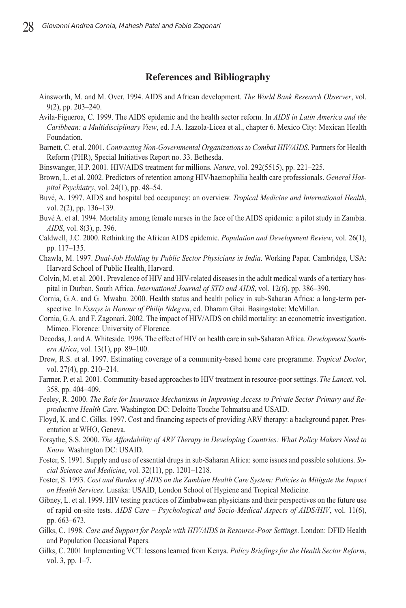#### **References and Bibliography**

- Ainsworth, M. and M. Over. 1994. AIDS and African development. *The World Bank Research Observer*, vol. 9(2), pp. 203–240.
- Avila-Figueroa, C. 1999. The AIDS epidemic and the health sector reform. In *AIDS in Latin America and the Caribbean: a Multidisciplinary View*, ed. J.A. Izazola-Licea et al., chapter 6. Mexico City: Mexican Health Foundation.
- Barnett, C. et al. 2001. *Contracting Non-Governmental Organizations to Combat HIV/AIDS*. Partners for Health Reform (PHR), Special Initiatives Report no. 33. Bethesda.
- Binswanger, H.P. 2001. HIV/AIDS treatment for millions. *Nature*, vol. 292(5515), pp. 221–225.
- Brown, L. et al. 2002. Predictors of retention among HIV/haemophilia health care professionals. *General Hospital Psychiatry*, vol. 24(1), pp. 48–54.
- Buvé, A. 1997. AIDS and hospital bed occupancy: an overview. *Tropical Medicine and International Health*, vol. 2(2), pp. 136–139.
- Buvé A. et al. 1994. Mortality among female nurses in the face of the AIDS epidemic: a pilot study in Zambia. *AIDS*, vol. 8(3), p. 396.
- Caldwell, J.C. 2000. Rethinking the African AIDS epidemic. *Population and Development Review*, vol. 26(1), pp. 117–135.
- Chawla, M. 1997. *Dual-Job Holding by Public Sector Physicians in India*. Working Paper. Cambridge, USA: Harvard School of Public Health, Harvard.
- Colvin, M. et al. 2001. Prevalence of HIV and HIV-related diseases in the adult medical wards of a tertiary hospital in Durban, South Africa. *International Journal of STD and AIDS*, vol. 12(6), pp. 386–390.
- Cornia, G.A. and G. Mwabu. 2000. Health status and health policy in sub-Saharan Africa: a long-term perspective. In *Essays in Honour of Philip Ndegwa*, ed. Dharam Ghai. Basingstoke: McMillan.
- Cornia, G.A. and F. Zagonari. 2002. The impact of HIV/AIDS on child mortality: an econometric investigation. Mimeo. Florence: University of Florence.
- Decodas, J. and A. Whiteside. 1996. The effect of HIV on health care in sub-Saharan Africa. *Development Southern Africa*, vol. 13(1), pp. 89–100.
- Drew, R.S. et al. 1997. Estimating coverage of a community-based home care programme. *Tropical Doctor*, vol. 27(4), pp. 210–214.
- Farmer, P. et al. 2001. Community-based approaches to HIV treatment in resource-poor settings. *The Lancet*, vol. 358, pp. 404–409.
- Feeley, R. 2000. *The Role for Insurance Mechanisms in Improving Access to Private Sector Primary and Reproductive Health Care*. Washington DC: Deloitte Touche Tohmatsu and USAID.
- Floyd, K. and C. Gilks. 1997. Cost and financing aspects of providing ARV therapy: a background paper. Presentation at WHO, Geneva.
- Forsythe, S.S. 2000. *The Affordability of ARV Therapy in Developing Countries: What Policy Makers Need to Know*. Washington DC: USAID.
- Foster, S. 1991. Supply and use of essential drugs in sub-Saharan Africa: some issues and possible solutions. *Social Science and Medicine*, vol. 32(11), pp. 1201–1218.
- Foster, S. 1993. *Cost and Burden of AIDS on the Zambian Health Care System: Policies to Mitigate the Impact on Health Services*. Lusaka: USAID, London School of Hygiene and Tropical Medicine.
- Gibney, L. et al. 1999. HIV testing practices of Zimbabwean physicians and their perspectives on the future use of rapid on-site tests. *AIDS Care – Psychological and Socio-Medical Aspects of AIDS/HIV*, vol. 11(6), pp. 663–673.
- Gilks, C. 1998. *Care and Support for People with HIV/AIDS in Resource-Poor Settings*. London: DFID Health and Population Occasional Papers.
- Gilks, C. 2001 Implementing VCT: lessons learned from Kenya. *Policy Briefings for the Health Sector Reform*, vol. 3, pp. 1–7.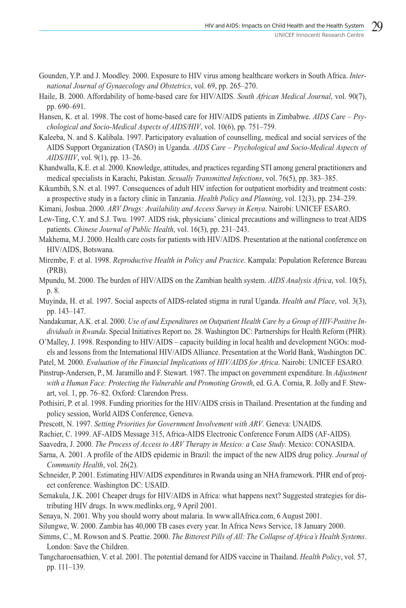- Gounden, Y.P. and J. Moodley. 2000. Exposure to HIV virus among healthcare workers in South Africa. *International Journal of Gynaecology and Obstetrics*, vol. 69, pp. 265–270.
- Haile, B. 2000. Affordability of home-based care for HIV/AIDS. *South African Medical Journal*, vol. 90(7), pp. 690–691.
- Hansen, K. et al. 1998. The cost of home-based care for HIV/AIDS patients in Zimbabwe. *AIDS Care Psychological and Socio-Medical Aspects of AIDS/HIV*, vol. 10(6), pp. 751–759.
- Kaleeba, N. and S. Kalibala. 1997. Participatory evaluation of counselling, medical and social services of the AIDS Support Organization (TASO) in Uganda. *AIDS Care – Psychological and Socio-Medical Aspects of AIDS/HIV*, vol. 9(1), pp. 13–26.
- Khandwalla, K.E. et al. 2000. Knowledge, attitudes, and practices regarding STI among general practitioners and medical specialists in Karachi, Pakistan. *Sexually Transmitted Infections*, vol. 76(5), pp. 383–385.
- Kikumbih, S.N. et al. 1997. Consequences of adult HIV infection for outpatient morbidity and treatment costs: a prospective study in a factory clinic in Tanzania. *Health Policy and Planning*, vol. 12(3), pp. 234–239.
- Kimani, Joshua. 2000. *ARV Drugs: Availability and Access Survey in Kenya*. Nairobi: UNICEF ESARO.
- Lew-Ting, C.Y. and S.J. Twu. 1997. AIDS risk, physicians' clinical precautions and willingness to treat AIDS patients. *Chinese Journal of Public Health*, vol. 16(3), pp. 231–243.
- Makhema, M.J. 2000. Health care costs for patients with HIV/AIDS. Presentation at the national conference on HIV/AIDS, Botswana.
- Mirembe, F. et al. 1998. *Reproductive Health in Policy and Practice*. Kampala: Population Reference Bureau (PRB).
- Mpundu, M. 2000. The burden of HIV/AIDS on the Zambian health system. *AIDS Analysis Africa*, vol. 10(5), p. 8.
- Muyinda, H. et al. 1997. Social aspects of AIDS-related stigma in rural Uganda. *Health and Place*, vol. 3(3), pp. 143–147.
- Nandakumar, A.K. et al. 2000. *Use of and Expenditures on Outpatient Health Care by a Group of HIV-Positive Individuals in Rwanda*. Special Initiatives Report no. 28. Washington DC: Partnerships for Health Reform (PHR).
- O'Malley, J. 1998. Responding to HIV/AIDS capacity building in local health and development NGOs: models and lessons from the International HIV/AIDS Alliance. Presentation at the World Bank, Washington DC.

Patel, M. 2000. *Evaluation of the Financial Implications of HIV/AIDS for Africa*. Nairobi: UNICEF ESARO.

- Pinstrup-Andersen, P., M. Jaramillo and F. Stewart. 1987. The impact on government expenditure. In *Adjustment with a Human Face: Protecting the Vulnerable and Promoting Growth*, ed. G.A. Cornia, R. Jolly and F. Stewart, vol. 1, pp. 76–82. Oxford: Clarendon Press.
- Pothisiri, P. et al. 1998. Funding priorities for the HIV/AIDS crisis in Thailand. Presentation at the funding and policy session, World AIDS Conference, Geneva.
- Prescott, N. 1997. *Setting Priorities for Government Involvement with ARV*. Geneva: UNAIDS.
- Rachier, C. 1999. AF-AIDS Message 315, Africa-AIDS Electronic Conference Forum AIDS (AF-AIDS).
- Saavedra, J. 2000. *The Process of Access to ARV Therapy in Mexico: a Case Study*. Mexico: CONASIDA.
- Sarna, A. 2001. A profile of the AIDS epidemic in Brazil: the impact of the new AIDS drug policy. *Journal of Community Health*, vol. 26(2).
- Schneider, P. 2001. Estimating HIV/AIDS expenditures in Rwanda using an NHA framework. PHR end of project conference. Washington DC: USAID.
- Semakula, J.K. 2001 Cheaper drugs for HIV/AIDS in Africa: what happens next? Suggested strategies for distributing HIV drugs. In www.medlinks.org, 9 April 2001.
- Senaya, N. 2001. Why you should worry about malaria. In www.allAfrica.com, 6 August 2001.
- Silungwe, W. 2000. Zambia has 40,000 TB cases every year. In Africa News Service, 18 January 2000.
- Simms, C., M. Rowson and S. Peattie. 2000. *The Bitterest Pills of All: The Collapse of Africa's Health Systems*. London: Save the Children.
- Tangcharoensathien, V. et al. 2001. The potential demand for AIDS vaccine in Thailand. *Health Policy*, vol. 57, pp. 111–139.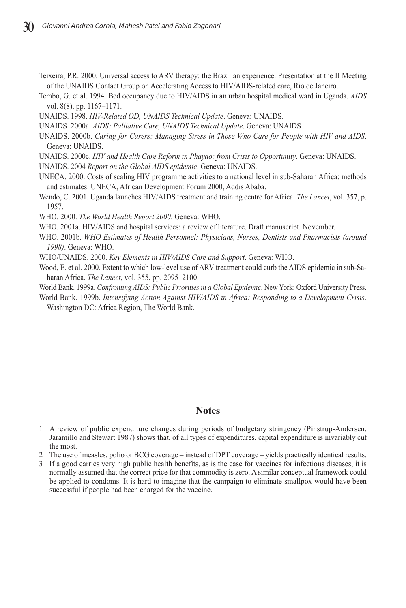- Teixeira, P.R. 2000. Universal access to ARV therapy: the Brazilian experience. Presentation at the II Meeting of the UNAIDS Contact Group on Accelerating Access to HIV/AIDS-related care, Rio de Janeiro.
- Tembo, G. et al. 1994. Bed occupancy due to HIV/AIDS in an urban hospital medical ward in Uganda. *AIDS* vol. 8(8), pp. 1167–1171.
- UNAIDS. 1998. *HIV-Related OD, UNAIDS Technical Update*. Geneva: UNAIDS.
- UNAIDS. 2000a. *AIDS: Palliative Care, UNAIDS Technical Update*. Geneva: UNAIDS.
- UNAIDS. 2000b. *Caring for Carers: Managing Stress in Those Who Care for People with HIV and AIDS*. Geneva: UNAIDS.
- UNAIDS. 2000c. *HIV and Health Care Reform in Phayao: from Crisis to Opportunity*. Geneva: UNAIDS.
- UNAIDS. 2004 *Report on the Global AIDS epidemic*. Geneva: UNAIDS.
- UNECA. 2000. Costs of scaling HIV programme activities to a national level in sub-Saharan Africa: methods and estimates. UNECA, African Development Forum 2000, Addis Ababa.
- Wendo, C. 2001. Uganda launches HIV/AIDS treatment and training centre for Africa. *The Lancet*, vol. 357, p. 1957.
- WHO. 2000. *The World Health Report 2000*. Geneva: WHO.
- WHO. 2001a. HIV/AIDS and hospital services: a review of literature. Draft manuscript. November.
- WHO. 2001b. *WHO Estimates of Health Personnel: Physicians, Nurses, Dentists and Pharmacists (around 1998)*. Geneva: WHO.
- WHO/UNAIDS. 2000. *Key Elements in HIV/AIDS Care and Support*. Geneva: WHO.
- Wood, E. et al. 2000. Extent to which low-level use of ARV treatment could curb the AIDS epidemic in sub-Saharan Africa. *The Lancet*, vol. 355, pp. 2095–2100.
- World Bank. 1999a. *Confronting AIDS: Public Priorities in a Global Epidemic*. New York: Oxford University Press.
- World Bank. 1999b. *Intensifying Action Against HIV/AIDS in Africa: Responding to a Development Crisis*. Washington DC: Africa Region, The World Bank.

#### **Notes**

- 1 A review of public expenditure changes during periods of budgetary stringency (Pinstrup-Andersen, Jaramillo and Stewart 1987) shows that, of all types of expenditures, capital expenditure is invariably cut the most.
- 2 The use of measles, polio or BCG coverage instead of DPT coverage yields practically identical results.
- 3 If a good carries very high public health benefits, as is the case for vaccines for infectious diseases, it is normally assumed that the correct price for that commodity is zero. A similar conceptual framework could be applied to condoms. It is hard to imagine that the campaign to eliminate smallpox would have been successful if people had been charged for the vaccine.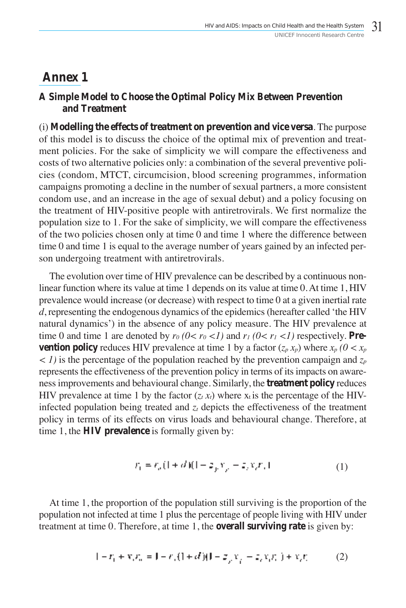## **Annex 1**

## **A Simple Model to Choose the Optimal Policy Mix Between Prevention and Treatment**

(i) **Modelling the effects of treatment on prevention and vice versa**. The purpose of this model is to discuss the choice of the optimal mix of prevention and treatment policies. For the sake of simplicity we will compare the effectiveness and costs of two alternative policies only: a combination of the several preventive policies (condom, MTCT, circumcision, blood screening programmes, information campaigns promoting a decline in the number of sexual partners, a more consistent condom use, and an increase in the age of sexual debut) and a policy focusing on the treatment of HIV-positive people with antiretrovirals. We first normalize the population size to 1. For the sake of simplicity, we will compare the effectiveness of the two policies chosen only at time 0 and time 1 where the difference between time 0 and time 1 is equal to the average number of years gained by an infected person undergoing treatment with antiretrovirals.

The evolution over time of HIV prevalence can be described by a continuous nonlinear function where its value at time 1 depends on its value at time 0. At time 1, HIV prevalence would increase (or decrease) with respect to time 0 at a given inertial rate *d*, representing the endogenous dynamics of the epidemics (hereafter called 'the HIV natural dynamics') in the absence of any policy measure. The HIV prevalence at time 0 and time 1 are denoted by  $r_0$  ( $0 < r_0 < 1$ ) and  $r_1$  ( $0 < r_1 < 1$ ) respectively. **Prevention policy** reduces HIV prevalence at time 1 by a factor  $(z_p x_p)$  where  $x_p (0 < x_p)$ *< 1)* is the percentage of the population reached by the prevention campaign and *zp* represents the effectiveness of the prevention policy in terms of its impacts on awareness improvements and behavioural change. Similarly, the **treatment policy** reduces HIV prevalence at time 1 by the factor  $(z_t, x_t)$  where  $x_t$  is the percentage of the HIVinfected population being treated and  $z_t$  depicts the effectiveness of the treatment policy in terms of its effects on virus loads and behavioural change. Therefore, at time 1, the **HIV prevalence** is formally given by:

$$
r_1 = r_n(1 + d)(1 - z_j, r_j - z_j, r_j, t)
$$
\n(1)

At time 1, the proportion of the population still surviving is the proportion of the population not infected at time 1 plus the percentage of people living with HIV under treatment at time 0. Therefore, at time 1, the **overall surviving rate** is given by:

$$
1 - r_1 + x_2 r_2 = 1 - r_2(1 + d)(1 - z_2 x_2 - z_2 x_2 r_1) + x_2 r_2
$$
 (2)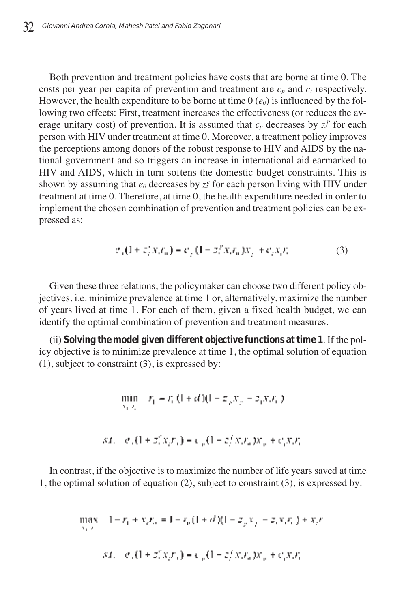Both prevention and treatment policies have costs that are borne at time 0. The costs per year per capita of prevention and treatment are  $c_p$  and  $c_t$  respectively. However, the health expenditure to be borne at time  $0$  ( $e_0$ ) is influenced by the following two effects: First, treatment increases the effectiveness (or reduces the average unitary cost) of prevention. It is assumed that  $c_p$  decreases by  $z_t^p$  for each person with HIV under treatment at time 0. Moreover, a treatment policy improves the perceptions among donors of the robust response to HIV and AIDS by the national government and so triggers an increase in international aid earmarked to HIV and AIDS, which in turn softens the domestic budget constraints. This is shown by assuming that  $e_0$  decreases by  $z_t^e$  for each person living with HIV under treatment at time 0. Therefore, at time 0, the health expenditure needed in order to implement the chosen combination of prevention and treatment policies can be expressed as:

$$
e_{\alpha}(1+z_i^{\prime}x_i t_n) = e_{\alpha}(1-z_i^{\prime\prime}x_i t_n)x_{\alpha} + e_{\alpha}x_{\alpha} t_{\alpha}
$$
 (3)

Given these three relations, the policymaker can choose two different policy objectives, i.e. minimize prevalence at time 1 or, alternatively, maximize the number of years lived at time 1. For each of them, given a fixed health budget, we can identify the optimal combination of prevention and treatment measures.

(ii) **Solving the model given different objective functions at time 1**. If the policy objective is to minimize prevalence at time 1, the optimal solution of equation (1), subject to constraint (3), is expressed by:

$$
\min_{y_1, y_2} |x_1 - x_1(1 + d)(1 - x_2 x_2 - x_1 x_2 x_1)|
$$
  
s.t. 
$$
|e_1(1 + x_1^2 x_2 x_1) - e_2(1 - x_1^2 x_2 x_2 x_2 + c_1 x_2 x_1)
$$

In contrast, if the objective is to maximize the number of life years saved at time 1, the optimal solution of equation (2), subject to constraint (3), is expressed by:

$$
\max_{y_1, y_2} (1 - r_1 + x_2 r_2) = 1 - r_p (1 + d)(1 - x_p x_p - x_p x_p t_p) + x_p t
$$
  
s.t. 
$$
c_p (1 + x_p^2 x_p t_p) = c_p (1 - x_p^2 x_p t_p) x_p + c_p x_p t_p
$$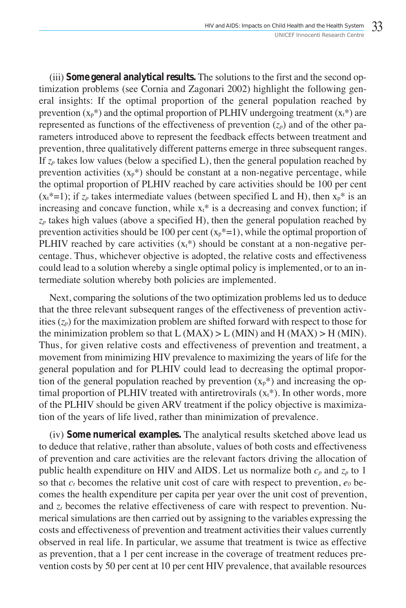(iii) **Some general analytical results.** The solutions to the first and the second optimization problems (see Cornia and Zagonari 2002) highlight the following general insights: If the optimal proportion of the general population reached by prevention  $(x_p^*)$  and the optimal proportion of PLHIV undergoing treatment  $(x_t^*)$  are represented as functions of the effectiveness of prevention  $(z_p)$  and of the other parameters introduced above to represent the feedback effects between treatment and prevention, three qualitatively different patterns emerge in three subsequent ranges. If  $z_p$  takes low values (below a specified L), then the general population reached by prevention activities  $(x_p^*)$  should be constant at a non-negative percentage, while the optimal proportion of PLHIV reached by care activities should be 100 per cent  $(x_t^*=1)$ ; if  $z_p$  takes intermediate values (between specified L and H), then  $x_p^*$  is an increasing and concave function, while  $x<sub>t</sub>$ <sup>\*</sup> is a decreasing and convex function; if  $z_p$  takes high values (above a specified H), then the general population reached by prevention activities should be 100 per cent  $(x_p^*=1)$ , while the optimal proportion of PLHIV reached by care activities  $(x<sub>t</sub>*)$  should be constant at a non-negative percentage. Thus, whichever objective is adopted, the relative costs and effectiveness could lead to a solution whereby a single optimal policy is implemented, or to an intermediate solution whereby both policies are implemented.

Next, comparing the solutions of the two optimization problems led us to deduce that the three relevant subsequent ranges of the effectiveness of prevention activities  $(z_p)$  for the maximization problem are shifted forward with respect to those for the minimization problem so that  $L(MAX) > L(MIN)$  and  $H(MAX) > H(MIN)$ . Thus, for given relative costs and effectiveness of prevention and treatment, a movement from minimizing HIV prevalence to maximizing the years of life for the general population and for PLHIV could lead to decreasing the optimal proportion of the general population reached by prevention  $(x_p^*)$  and increasing the optimal proportion of PLHIV treated with antiretrovirals  $(x<sub>t</sub>*)$ . In other words, more of the PLHIV should be given ARV treatment if the policy objective is maximization of the years of life lived, rather than minimization of prevalence.

(iv) **Some numerical examples.** The analytical results sketched above lead us to deduce that relative, rather than absolute, values of both costs and effectiveness of prevention and care activities are the relevant factors driving the allocation of public health expenditure on HIV and AIDS. Let us normalize both  $c_p$  and  $z_p$  to 1 so that  $c_t$  becomes the relative unit cost of care with respect to prevention,  $e_0$  becomes the health expenditure per capita per year over the unit cost of prevention, and  $z_t$  becomes the relative effectiveness of care with respect to prevention. Numerical simulations are then carried out by assigning to the variables expressing the costs and effectiveness of prevention and treatment activities their values currently observed in real life. In particular, we assume that treatment is twice as effective as prevention, that a 1 per cent increase in the coverage of treatment reduces prevention costs by 50 per cent at 10 per cent HIV prevalence, that available resources